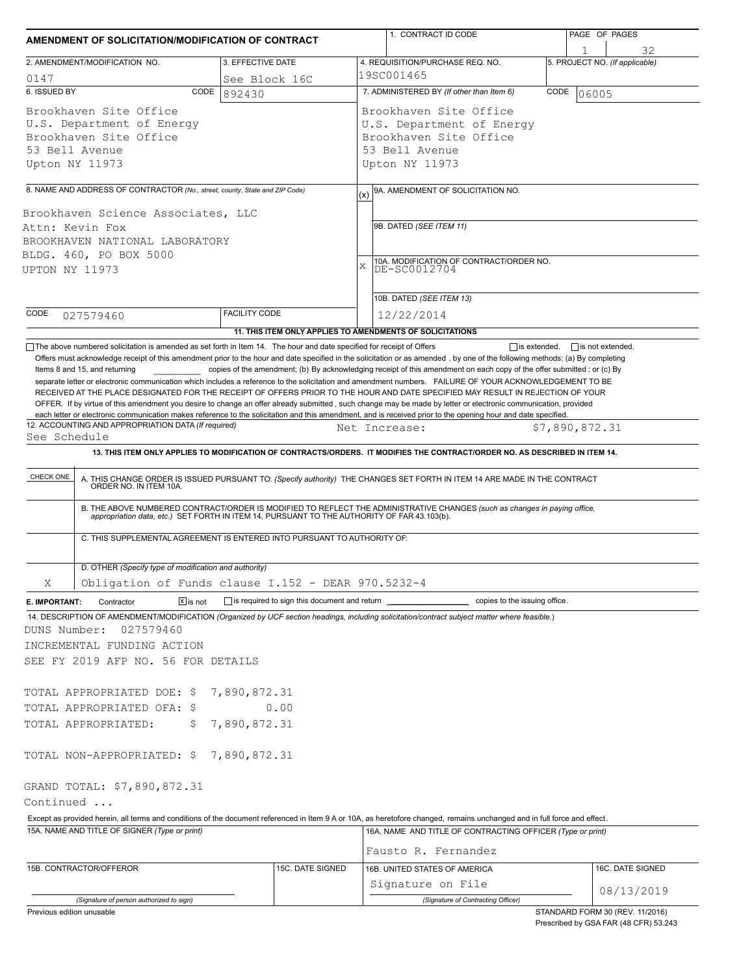|                                                                                                                                                                                                                                                                            |                       | AMENDMENT OF SOLICITATION/MODIFICATION OF CONTRACT                       | 1. CONTRACT ID CODE                                                                                                                                                                                                                                                                                                                                                       |                     | PAGE OF PAGES                        |
|----------------------------------------------------------------------------------------------------------------------------------------------------------------------------------------------------------------------------------------------------------------------------|-----------------------|--------------------------------------------------------------------------|---------------------------------------------------------------------------------------------------------------------------------------------------------------------------------------------------------------------------------------------------------------------------------------------------------------------------------------------------------------------------|---------------------|--------------------------------------|
| 2. AMENDMENT/MODIFICATION NO.                                                                                                                                                                                                                                              |                       | 3. EFFECTIVE DATE                                                        | 4. REQUISITION/PURCHASE REQ. NO.                                                                                                                                                                                                                                                                                                                                          |                     | 32<br>5. PROJECT NO. (If applicable) |
| 0147                                                                                                                                                                                                                                                                       |                       | See Block 16C                                                            | 19SC001465                                                                                                                                                                                                                                                                                                                                                                |                     |                                      |
| 6. ISSUED BY                                                                                                                                                                                                                                                               | CODE                  | 892430                                                                   | 7. ADMINISTERED BY (If other than Item 6)                                                                                                                                                                                                                                                                                                                                 | CODE                | 06005                                |
| Brookhaven Site Office<br>U.S. Department of Energy<br>Brookhaven Site Office<br>53 Bell Avenue<br>Upton NY 11973                                                                                                                                                          |                       |                                                                          | Brookhaven Site Office<br>U.S. Department of Energy<br>Brookhaven Site Office<br>53 Bell Avenue<br>Upton NY 11973                                                                                                                                                                                                                                                         |                     |                                      |
|                                                                                                                                                                                                                                                                            |                       |                                                                          |                                                                                                                                                                                                                                                                                                                                                                           |                     |                                      |
| 8. NAME AND ADDRESS OF CONTRACTOR (No., street, county, State and ZIP Code)<br>Brookhaven Science Associates, LLC                                                                                                                                                          |                       |                                                                          | 9A. AMENDMENT OF SOLICITATION NO.<br>(x)                                                                                                                                                                                                                                                                                                                                  |                     |                                      |
| Attn: Kevin Fox                                                                                                                                                                                                                                                            |                       |                                                                          | 9B. DATED (SEE ITEM 11)                                                                                                                                                                                                                                                                                                                                                   |                     |                                      |
| BROOKHAVEN NATIONAL LABORATORY                                                                                                                                                                                                                                             |                       |                                                                          |                                                                                                                                                                                                                                                                                                                                                                           |                     |                                      |
| BLDG. 460, PO BOX 5000                                                                                                                                                                                                                                                     |                       |                                                                          | 10A. MODIFICATION OF CONTRACT/ORDER NO.                                                                                                                                                                                                                                                                                                                                   |                     |                                      |
| UPTON NY 11973                                                                                                                                                                                                                                                             |                       |                                                                          | $\bar{x}$<br>DE-SC0012704                                                                                                                                                                                                                                                                                                                                                 |                     |                                      |
|                                                                                                                                                                                                                                                                            |                       |                                                                          |                                                                                                                                                                                                                                                                                                                                                                           |                     |                                      |
| CODE                                                                                                                                                                                                                                                                       |                       | <b>FACILITY CODE</b>                                                     | 10B. DATED (SEE ITEM 13)                                                                                                                                                                                                                                                                                                                                                  |                     |                                      |
| 027579460                                                                                                                                                                                                                                                                  |                       |                                                                          | 12/22/2014                                                                                                                                                                                                                                                                                                                                                                |                     |                                      |
| The above numbered solicitation is amended as set forth in Item 14. The hour and date specified for receipt of Offers                                                                                                                                                      |                       |                                                                          | 11. THIS ITEM ONLY APPLIES TO AMENDMENTS OF SOLICITATIONS                                                                                                                                                                                                                                                                                                                 | $\Box$ is extended. | $\Box$ is not extended.              |
| 12. ACCOUNTING AND APPROPRIATION DATA (If required)<br>See Schedule                                                                                                                                                                                                        |                       |                                                                          | OFFER. If by virtue of this amendment you desire to change an offer already submitted, such change may be made by letter or electronic communication, provided<br>each letter or electronic communication makes reference to the solicitation and this amendment, and is received prior to the opening hour and date specified.<br>Net Increase:                          | \$7,890,872.31      |                                      |
|                                                                                                                                                                                                                                                                            |                       |                                                                          | 13. THIS ITEM ONLY APPLIES TO MODIFICATION OF CONTRACTS/ORDERS. IT MODIFIES THE CONTRACT/ORDER NO. AS DESCRIBED IN ITEM 14.                                                                                                                                                                                                                                               |                     |                                      |
|                                                                                                                                                                                                                                                                            |                       |                                                                          |                                                                                                                                                                                                                                                                                                                                                                           |                     |                                      |
| CHECK ONE                                                                                                                                                                                                                                                                  |                       | C. THIS SUPPLEMENTAL AGREEMENT IS ENTERED INTO PURSUANT TO AUTHORITY OF: | A. THIS CHANGE ORDER IS ISSUED PURSUANT TO: (Specify authority) THE CHANGES SET FORTH IN ITEM 14 ARE MADE IN THE CONTRACT ORDER NO. IN ITEM 10A.<br>B. THE ABOVE NUMBERED CONTRACT/ORDER IS MODIFIED TO REFLECT THE ADMINISTRATIVE CHANGES (such as changes in paying office, appropriation data, etc.) SET FORTH IN ITEM 14, PURSUANT TO THE AUTHORITY OF FAR 43.103(b). |                     |                                      |
| D. OTHER (Specify type of modification and authority)                                                                                                                                                                                                                      |                       |                                                                          |                                                                                                                                                                                                                                                                                                                                                                           |                     |                                      |
| Χ                                                                                                                                                                                                                                                                          |                       | Obligation of Funds clause I.152 - DEAR 970.5232-4                       |                                                                                                                                                                                                                                                                                                                                                                           |                     |                                      |
| Contractor                                                                                                                                                                                                                                                                 | $\overline{X}$ is not |                                                                          | □ is required to sign this document and return<br><u>■ copies</u> to the issuing office.                                                                                                                                                                                                                                                                                  |                     |                                      |
| 027579460                                                                                                                                                                                                                                                                  |                       |                                                                          | 14. DESCRIPTION OF AMENDMENT/MODIFICATION (Organized by UCF section headings, including solicitation/contract subject matter where feasible.)                                                                                                                                                                                                                             |                     |                                      |
|                                                                                                                                                                                                                                                                            |                       |                                                                          |                                                                                                                                                                                                                                                                                                                                                                           |                     |                                      |
|                                                                                                                                                                                                                                                                            |                       | 7,890,872.31                                                             |                                                                                                                                                                                                                                                                                                                                                                           |                     |                                      |
|                                                                                                                                                                                                                                                                            | Ş.                    | 0.00<br>7,890,872.31                                                     |                                                                                                                                                                                                                                                                                                                                                                           |                     |                                      |
|                                                                                                                                                                                                                                                                            |                       |                                                                          |                                                                                                                                                                                                                                                                                                                                                                           |                     |                                      |
|                                                                                                                                                                                                                                                                            |                       |                                                                          |                                                                                                                                                                                                                                                                                                                                                                           |                     |                                      |
|                                                                                                                                                                                                                                                                            |                       |                                                                          |                                                                                                                                                                                                                                                                                                                                                                           |                     |                                      |
|                                                                                                                                                                                                                                                                            |                       |                                                                          |                                                                                                                                                                                                                                                                                                                                                                           |                     |                                      |
| 15A. NAME AND TITLE OF SIGNER (Type or print)                                                                                                                                                                                                                              |                       |                                                                          | Except as provided herein, all terms and conditions of the document referenced in Item 9 A or 10A, as heretofore changed, remains unchanged and in full force and effect.<br>16A. NAME AND TITLE OF CONTRACTING OFFICER (Type or print)                                                                                                                                   |                     |                                      |
| E. IMPORTANT:<br>DUNS Number:<br>INCREMENTAL FUNDING ACTION<br>SEE FY 2019 AFP NO. 56 FOR DETAILS<br>TOTAL APPROPRIATED DOE: \$<br>TOTAL APPROPRIATED OFA: \$<br>TOTAL APPROPRIATED:<br>TOTAL NON-APPROPRIATED: \$7,890,872.31<br>GRAND TOTAL: \$7,890,872.31<br>Continued |                       |                                                                          | Fausto R. Fernandez                                                                                                                                                                                                                                                                                                                                                       |                     |                                      |
| 15B. CONTRACTOR/OFFEROR                                                                                                                                                                                                                                                    |                       | 15C. DATE SIGNED                                                         | 16B. UNITED STATES OF AMERICA                                                                                                                                                                                                                                                                                                                                             |                     | 16C. DATE SIGNED                     |
|                                                                                                                                                                                                                                                                            |                       |                                                                          | Signature on File                                                                                                                                                                                                                                                                                                                                                         |                     | 08/13/2019                           |

escribed by GSA FAR (48 CFR) 53.243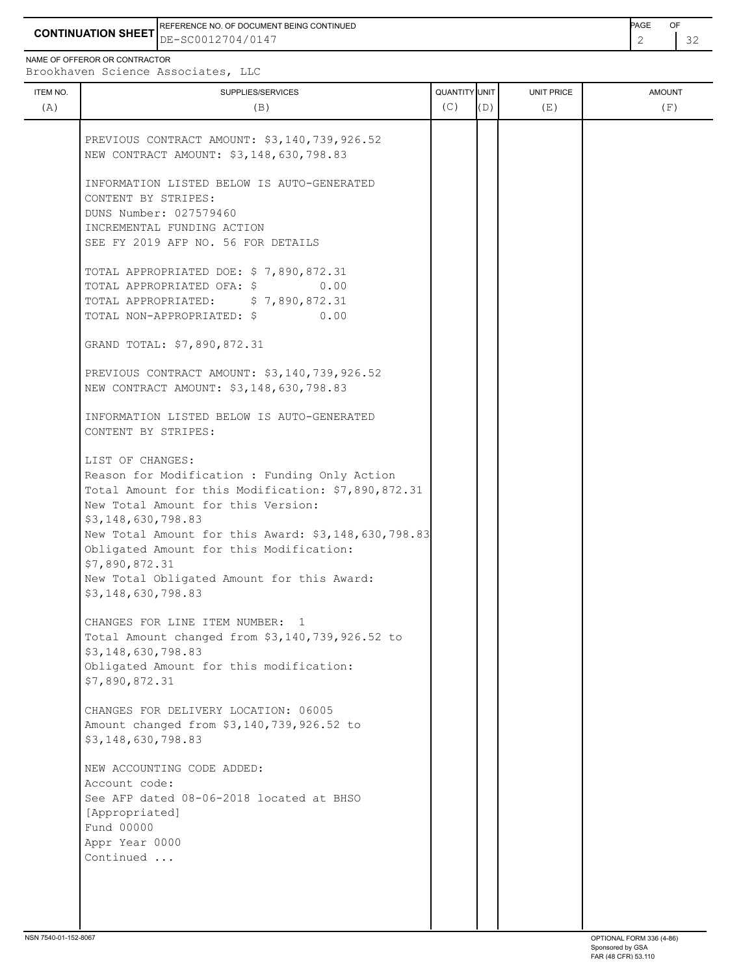**CONTINUATION SHEET** DE-SC0012704/0147 2 32 REFERENCE NO. OF DOCUMENT BEING CONTINUED **A CONTINUED PAGE OF PAGE OF PAGE OF PAGE** 

ITEM NO. ┃ SUPPLIES/SERVICES UNIT PRICE AMOUNT NAME OF OFFEROR OR CONTRACTOR Brookhaven Science Associates, LLC (A)  $(B)$  (B)  $(C)$   $(D)$  (E)  $(E)$  (F) PREVIOUS CONTRACT AMOUNT: \$3,140,739,926.52 NEW CONTRACT AMOUNT: \$3,148,630,798.83 INFORMATION LISTED BELOW IS AUTO-GENERATED CONTENT BY STRIPES: DUNS Number: 027579460 INCREMENTAL FUNDING ACTION SEE FY 2019 AFP NO. 56 FOR DETAILS TOTAL APPROPRIATED DOE: \$ 7,890,872.31 TOTAL APPROPRIATED OFA: \$ 0.00 TOTAL APPROPRIATED: \$ 7,890,872.31 TOTAL NON-APPROPRIATED: \$ 0.00 GRAND TOTAL: \$7,890,872.31 PREVIOUS CONTRACT AMOUNT: \$3,140,739,926.52 NEW CONTRACT AMOUNT: \$3,148,630,798.83 INFORMATION LISTED BELOW IS AUTO-GENERATED CONTENT BY STRIPES: LIST OF CHANGES: Reason for Modification : Funding Only Action Total Amount for this Modification: \$7,890,872.31 New Total Amount for this Version: \$3,148,630,798.83 New Total Amount for this Award: \$3,148,630,798.83 Obligated Amount for this Modification: \$7,890,872.31 New Total Obligated Amount for this Award: \$3,148,630,798.83 CHANGES FOR LINE ITEM NUMBER: 1 Total Amount changed from \$3,140,739,926.52 to \$3,148,630,798.83 Obligated Amount for this modification: \$7,890,872.31 CHANGES FOR DELIVERY LOCATION: 06005 Amount changed from \$3,140,739,926.52 to \$3,148,630,798.83

 NEW ACCOUNTING CODE ADDED: Account code: See AFP dated 08-06-2018 located at BHSO [Appropriated] Fund 00000 Appr Year 0000 Continued ...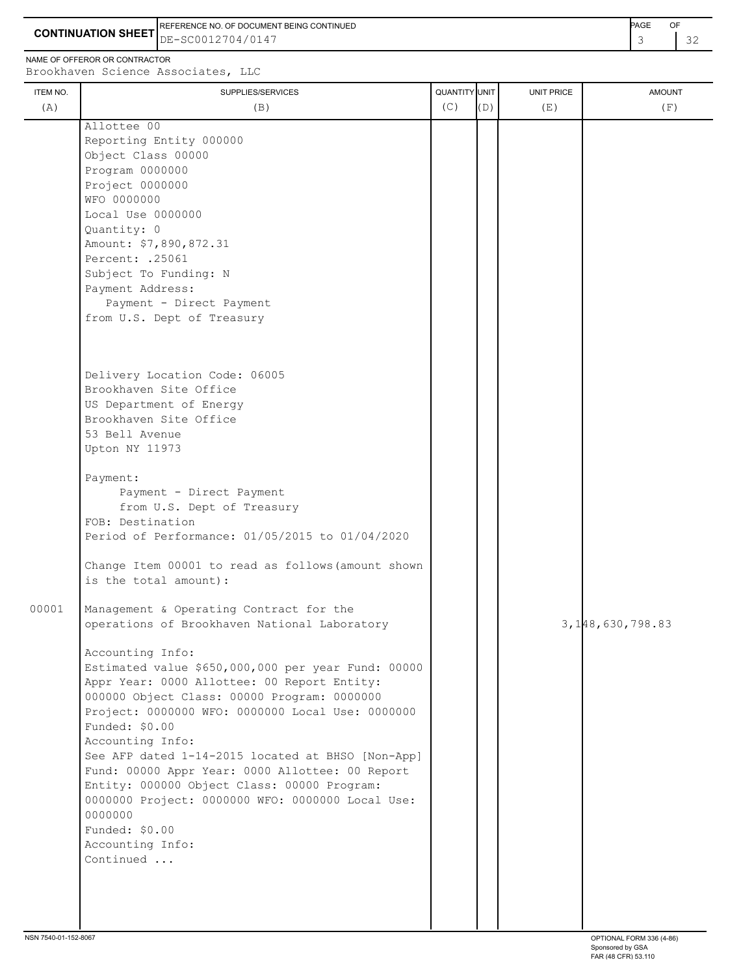**CONTINUATION SHEET** DE-SC0012704/0147 **CONTINUATION SHEET**  $3^{2}$ REFERENCE NO. OF DOCUMENT BEING CONTINUED **A CONTINUED PAGE OF PAGE OF PAGE OF PAGE** 

NAME OF OFFEROR OR CONTRACTOR

## ITEM NO. ┃ SUPPLIES/SERVICES UNIT PRICE AMOUNT Brookhaven Science Associates, LLC (A)  $(B)$  (B)  $(C)$   $(D)$  (E)  $(E)$  (F) Allottee 00 Reporting Entity 000000 Object Class 00000 Program 0000000 Project 0000000 WFO 0000000 Local Use 0000000 Quantity: 0 Amount: \$7,890,872.31 Percent: .25061 Subject To Funding: N Payment Address: Payment - Direct Payment from U.S. Dept of Treasury Delivery Location Code: 06005 Brookhaven Site Office US Department of Energy Brookhaven Site Office 53 Bell Avenue Upton NY 11973 Payment: Payment - Direct Payment from U.S. Dept of Treasury FOB: Destination Period of Performance: 01/05/2015 to 01/04/2020 Change Item 00001 to read as follows(amount shown is the total amount): 00001 Management & Operating Contract for the operations of Brookhaven National Laboratory 3,148,630,798.83 Accounting Info: Estimated value \$650,000,000 per year Fund: 00000 Appr Year: 0000 Allottee: 00 Report Entity: 000000 Object Class: 00000 Program: 0000000 Project: 0000000 WFO: 0000000 Local Use: 0000000 Funded: \$0.00 Accounting Info: See AFP dated 1-14-2015 located at BHSO [Non-App] Fund: 00000 Appr Year: 0000 Allottee: 00 Report Entity: 000000 Object Class: 00000 Program: 0000000 Project: 0000000 WFO: 0000000 Local Use: 0000000 Funded: \$0.00 Accounting Info: Continued ...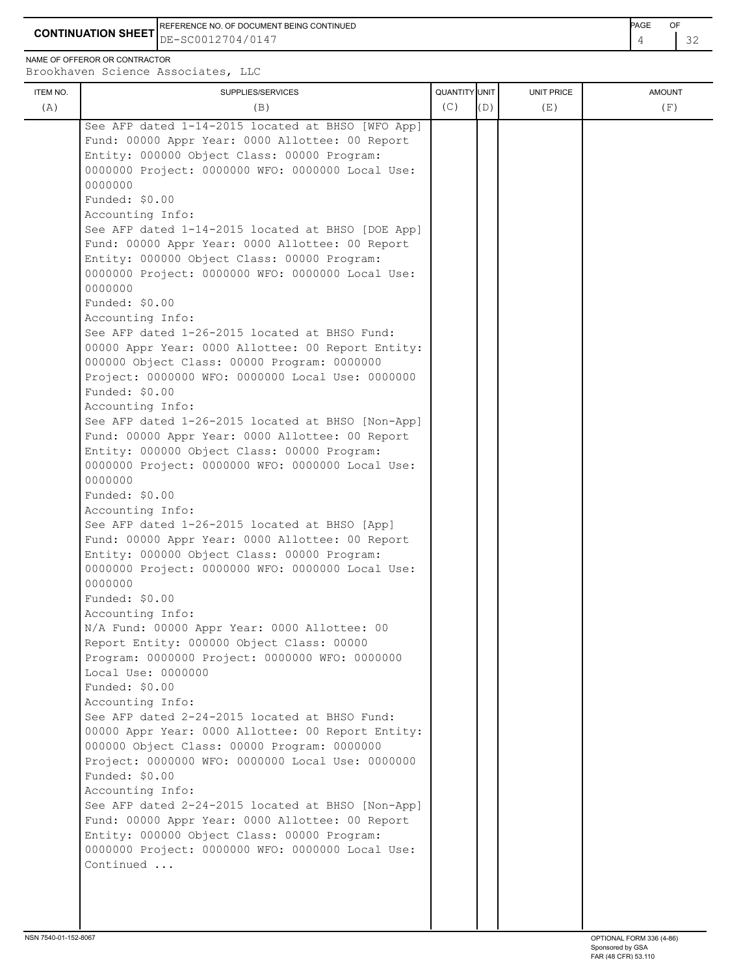**CONTINUATION SHEET** DE-SC0012704/0147 **And the set of the set of the set of the set of the set of the set of the set of the set of the set of the set of the set of the set of the set of the set of the set of the set of th** REFERENCE NO. OF DOCUMENT BEING CONTINUED **Example 2008** PAGE OF

NAME OF OFFEROR OR CONTRACTOR

| ITEM NO. | SUPPLIES/SERVICES                                                                                    | QUANTITY UNIT |     | <b>UNIT PRICE</b> | <b>AMOUNT</b> |
|----------|------------------------------------------------------------------------------------------------------|---------------|-----|-------------------|---------------|
| (A)      | (B)                                                                                                  | (C)           | (D) | (E)               | (F)           |
|          | See AFP dated 1-14-2015 located at BHSO [WFO App]                                                    |               |     |                   |               |
|          | Fund: 00000 Appr Year: 0000 Allottee: 00 Report                                                      |               |     |                   |               |
|          | Entity: 000000 Object Class: 00000 Program:                                                          |               |     |                   |               |
|          | 0000000 Project: 0000000 WFO: 0000000 Local Use:<br>0000000                                          |               |     |                   |               |
|          | Funded: \$0.00                                                                                       |               |     |                   |               |
|          | Accounting Info:                                                                                     |               |     |                   |               |
|          | See AFP dated 1-14-2015 located at BHSO [DOE App]                                                    |               |     |                   |               |
|          | Fund: 00000 Appr Year: 0000 Allottee: 00 Report                                                      |               |     |                   |               |
|          | Entity: 000000 Object Class: 00000 Program:                                                          |               |     |                   |               |
|          | 0000000 Project: 0000000 WFO: 0000000 Local Use:                                                     |               |     |                   |               |
|          | 0000000                                                                                              |               |     |                   |               |
|          | Funded: \$0.00                                                                                       |               |     |                   |               |
|          | Accounting Info:                                                                                     |               |     |                   |               |
|          | See AFP dated 1-26-2015 located at BHSO Fund:                                                        |               |     |                   |               |
|          | 00000 Appr Year: 0000 Allottee: 00 Report Entity:                                                    |               |     |                   |               |
|          | 000000 Object Class: 00000 Program: 0000000                                                          |               |     |                   |               |
|          | Project: 0000000 WFO: 0000000 Local Use: 0000000                                                     |               |     |                   |               |
|          | Funded: \$0.00                                                                                       |               |     |                   |               |
|          | Accounting Info:                                                                                     |               |     |                   |               |
|          | See AFP dated 1-26-2015 located at BHSO [Non-App]<br>Fund: 00000 Appr Year: 0000 Allottee: 00 Report |               |     |                   |               |
|          | Entity: 000000 Object Class: 00000 Program:                                                          |               |     |                   |               |
|          | 0000000 Project: 0000000 WFO: 0000000 Local Use:                                                     |               |     |                   |               |
|          | 0000000                                                                                              |               |     |                   |               |
|          | Funded: \$0.00                                                                                       |               |     |                   |               |
|          | Accounting Info:                                                                                     |               |     |                   |               |
|          | See AFP dated 1-26-2015 located at BHSO [App]                                                        |               |     |                   |               |
|          | Fund: 00000 Appr Year: 0000 Allottee: 00 Report                                                      |               |     |                   |               |
|          | Entity: 000000 Object Class: 00000 Program:                                                          |               |     |                   |               |
|          | 0000000 Project: 0000000 WFO: 0000000 Local Use:                                                     |               |     |                   |               |
|          | 0000000                                                                                              |               |     |                   |               |
|          | Funded: \$0.00                                                                                       |               |     |                   |               |
|          | Accounting Info:                                                                                     |               |     |                   |               |
|          | N/A Fund: 00000 Appr Year: 0000 Allottee: 00<br>Report Entity: 000000 Object Class: 00000            |               |     |                   |               |
|          | Program: 0000000 Project: 0000000 WFO: 0000000                                                       |               |     |                   |               |
|          | Local Use: 0000000                                                                                   |               |     |                   |               |
|          | Funded: \$0.00                                                                                       |               |     |                   |               |
|          | Accounting Info:                                                                                     |               |     |                   |               |
|          | See AFP dated 2-24-2015 located at BHSO Fund:                                                        |               |     |                   |               |
|          | 00000 Appr Year: 0000 Allottee: 00 Report Entity:                                                    |               |     |                   |               |
|          | 000000 Object Class: 00000 Program: 0000000                                                          |               |     |                   |               |
|          | Project: 0000000 WFO: 0000000 Local Use: 0000000                                                     |               |     |                   |               |
|          | Funded: \$0.00                                                                                       |               |     |                   |               |
|          | Accounting Info:                                                                                     |               |     |                   |               |
|          | See AFP dated 2-24-2015 located at BHSO [Non-App]                                                    |               |     |                   |               |
|          | Fund: 00000 Appr Year: 0000 Allottee: 00 Report                                                      |               |     |                   |               |
|          | Entity: 000000 Object Class: 00000 Program:                                                          |               |     |                   |               |
|          | 0000000 Project: 0000000 WFO: 0000000 Local Use:<br>Continued                                        |               |     |                   |               |
|          |                                                                                                      |               |     |                   |               |
|          |                                                                                                      |               |     |                   |               |
|          |                                                                                                      |               |     |                   |               |
|          |                                                                                                      |               |     |                   |               |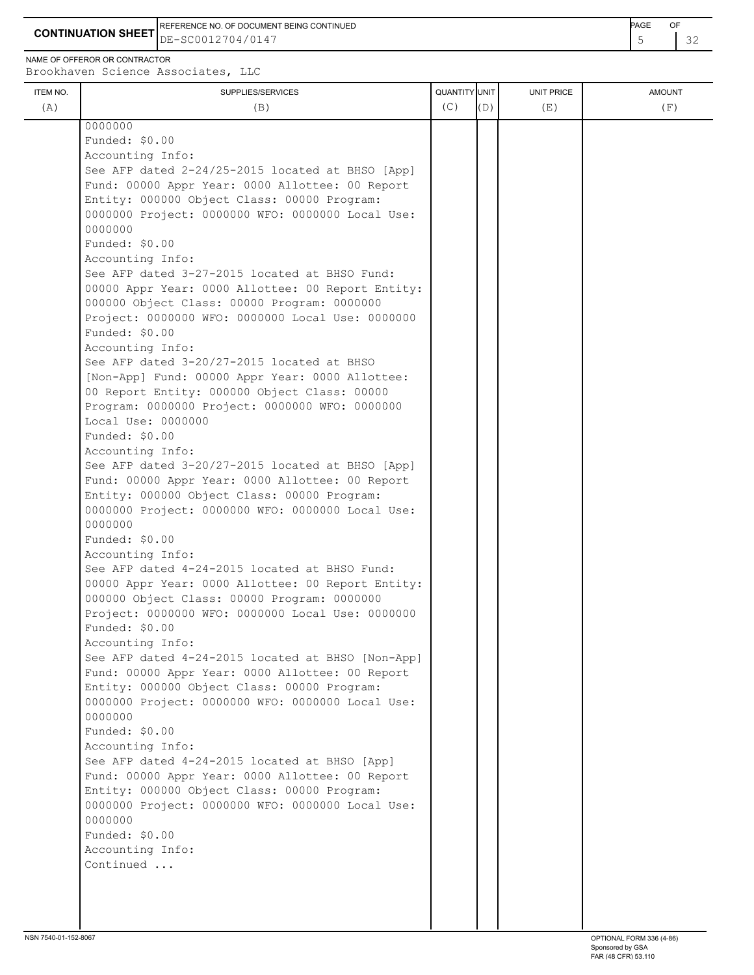**CONTINUATION SHEET** DE-SC0012704/0147 **CONTINUATION SHEET**  $\begin{bmatrix} 5 & 32 \end{bmatrix}$ REFERENCE NO. OF DOCUMENT BEING CONTINUED **EXAMPLE A CONTINUED** 

NAME OF OFFEROR OR CONTRACTOR Brookhaven Science Associates, LLC

| ITEM NO. | SUPPLIES/SERVICES                                                     | QUANTITY UNIT |     | UNIT PRICE | <b>AMOUNT</b> |
|----------|-----------------------------------------------------------------------|---------------|-----|------------|---------------|
| (A)      | (B)                                                                   | (C)           | (D) | (E)        | (F)           |
|          | 0000000                                                               |               |     |            |               |
|          | Funded: \$0.00                                                        |               |     |            |               |
|          | Accounting Info:                                                      |               |     |            |               |
|          | See AFP dated 2-24/25-2015 located at BHSO [App]                      |               |     |            |               |
|          | Fund: 00000 Appr Year: 0000 Allottee: 00 Report                       |               |     |            |               |
|          | Entity: 000000 Object Class: 00000 Program:                           |               |     |            |               |
|          | 0000000 Project: 0000000 WFO: 0000000 Local Use:<br>0000000           |               |     |            |               |
|          | Funded: \$0.00                                                        |               |     |            |               |
|          | Accounting Info:                                                      |               |     |            |               |
|          | See AFP dated 3-27-2015 located at BHSO Fund:                         |               |     |            |               |
|          | 00000 Appr Year: 0000 Allottee: 00 Report Entity:                     |               |     |            |               |
|          | 000000 Object Class: 00000 Program: 0000000                           |               |     |            |               |
|          | Project: 0000000 WFO: 0000000 Local Use: 0000000                      |               |     |            |               |
|          | Funded: \$0.00                                                        |               |     |            |               |
|          | Accounting Info:                                                      |               |     |            |               |
|          | See AFP dated 3-20/27-2015 located at BHSO                            |               |     |            |               |
|          | [Non-App] Fund: 00000 Appr Year: 0000 Allottee:                       |               |     |            |               |
|          | 00 Report Entity: 000000 Object Class: 00000                          |               |     |            |               |
|          | Program: 0000000 Project: 0000000 WFO: 0000000                        |               |     |            |               |
|          | Local Use: 0000000                                                    |               |     |            |               |
|          | Funded: \$0.00                                                        |               |     |            |               |
|          | Accounting Info:<br>See AFP dated 3-20/27-2015 located at BHSO [App]  |               |     |            |               |
|          | Fund: 00000 Appr Year: 0000 Allottee: 00 Report                       |               |     |            |               |
|          | Entity: 000000 Object Class: 00000 Program:                           |               |     |            |               |
|          | 0000000 Project: 0000000 WFO: 0000000 Local Use:                      |               |     |            |               |
|          | 0000000                                                               |               |     |            |               |
|          | Funded: \$0.00                                                        |               |     |            |               |
|          | Accounting Info:                                                      |               |     |            |               |
|          | See AFP dated 4-24-2015 located at BHSO Fund:                         |               |     |            |               |
|          | 00000 Appr Year: 0000 Allottee: 00 Report Entity:                     |               |     |            |               |
|          | 000000 Object Class: 00000 Program: 0000000                           |               |     |            |               |
|          | Project: 0000000 WFO: 0000000 Local Use: 0000000                      |               |     |            |               |
|          | Funded: \$0.00                                                        |               |     |            |               |
|          | Accounting Info:<br>See AFP dated 4-24-2015 located at BHSO [Non-App] |               |     |            |               |
|          | Fund: 00000 Appr Year: 0000 Allottee: 00 Report                       |               |     |            |               |
|          | Entity: 000000 Object Class: 00000 Program:                           |               |     |            |               |
|          | 0000000 Project: 0000000 WFO: 0000000 Local Use:                      |               |     |            |               |
|          | 0000000                                                               |               |     |            |               |
|          | Funded: \$0.00                                                        |               |     |            |               |
|          | Accounting Info:                                                      |               |     |            |               |
|          | See AFP dated 4-24-2015 located at BHSO [App]                         |               |     |            |               |
|          | Fund: 00000 Appr Year: 0000 Allottee: 00 Report                       |               |     |            |               |
|          | Entity: 000000 Object Class: 00000 Program:                           |               |     |            |               |
|          | 0000000 Project: 0000000 WFO: 0000000 Local Use:                      |               |     |            |               |
|          | 0000000                                                               |               |     |            |               |
|          | Funded: \$0.00                                                        |               |     |            |               |
|          | Accounting Info:<br>Continued                                         |               |     |            |               |
|          |                                                                       |               |     |            |               |
|          |                                                                       |               |     |            |               |
|          |                                                                       |               |     |            |               |
|          |                                                                       |               |     |            |               |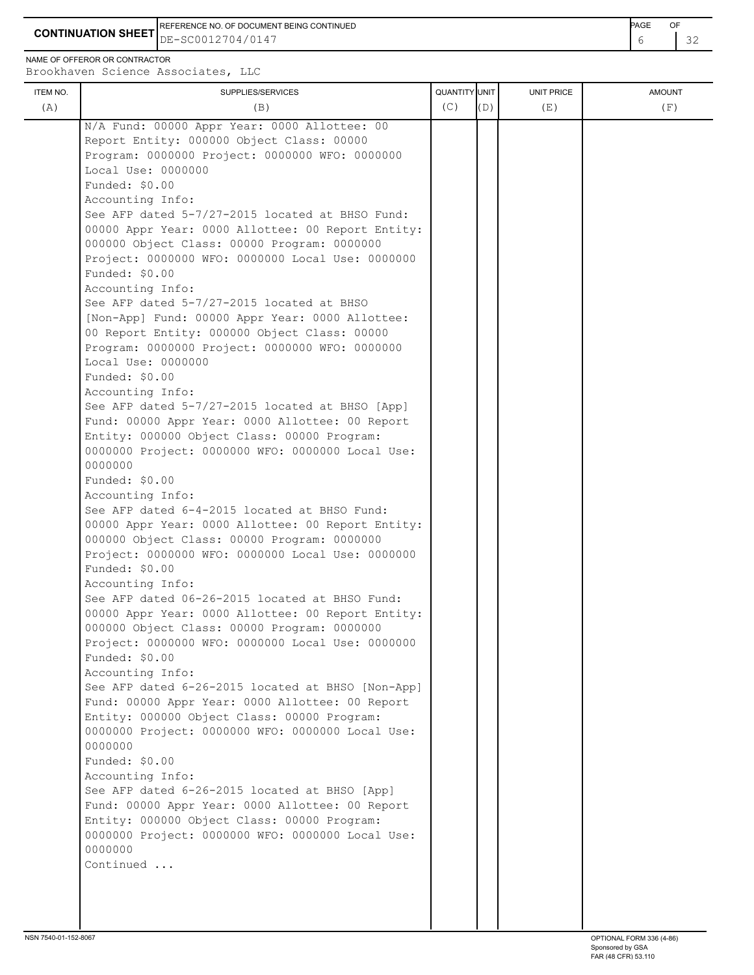**CONTINUATION SHEET** DE-SC0012704/0147 **CONTINUATION SHEET**  $\begin{bmatrix} 6 & 32 \end{bmatrix}$ REFERENCE NO. OF DOCUMENT BEING CONTINUED **EXAMPLE A CONTINUED** 

NAME OF OFFEROR OR CONTRACTOR

| ITEM NO.<br>(A) | SUPPLIES/SERVICES<br>(B)                                                                  | QUANTITY UNIT<br>(C) | (D) | <b>UNIT PRICE</b><br>(E) | <b>AMOUNT</b><br>(F) |
|-----------------|-------------------------------------------------------------------------------------------|----------------------|-----|--------------------------|----------------------|
|                 |                                                                                           |                      |     |                          |                      |
|                 | N/A Fund: 00000 Appr Year: 0000 Allottee: 00<br>Report Entity: 000000 Object Class: 00000 |                      |     |                          |                      |
|                 | Program: 0000000 Project: 0000000 WFO: 0000000                                            |                      |     |                          |                      |
|                 | Local Use: 0000000                                                                        |                      |     |                          |                      |
|                 | Funded: \$0.00                                                                            |                      |     |                          |                      |
|                 | Accounting Info:                                                                          |                      |     |                          |                      |
|                 | See AFP dated 5-7/27-2015 located at BHSO Fund:                                           |                      |     |                          |                      |
|                 | 00000 Appr Year: 0000 Allottee: 00 Report Entity:                                         |                      |     |                          |                      |
|                 | 000000 Object Class: 00000 Program: 0000000                                               |                      |     |                          |                      |
|                 | Project: 0000000 WFO: 0000000 Local Use: 0000000                                          |                      |     |                          |                      |
|                 | Funded: \$0.00                                                                            |                      |     |                          |                      |
|                 | Accounting Info:                                                                          |                      |     |                          |                      |
|                 | See AFP dated 5-7/27-2015 located at BHSO                                                 |                      |     |                          |                      |
|                 | [Non-App] Fund: 00000 Appr Year: 0000 Allottee:                                           |                      |     |                          |                      |
|                 | 00 Report Entity: 000000 Object Class: 00000                                              |                      |     |                          |                      |
|                 | Program: 0000000 Project: 0000000 WFO: 0000000<br>Local Use: 0000000                      |                      |     |                          |                      |
|                 | Funded: \$0.00                                                                            |                      |     |                          |                      |
|                 | Accounting Info:                                                                          |                      |     |                          |                      |
|                 | See AFP dated 5-7/27-2015 located at BHSO [App]                                           |                      |     |                          |                      |
|                 | Fund: 00000 Appr Year: 0000 Allottee: 00 Report                                           |                      |     |                          |                      |
|                 | Entity: 000000 Object Class: 00000 Program:                                               |                      |     |                          |                      |
|                 | 0000000 Project: 0000000 WFO: 0000000 Local Use:                                          |                      |     |                          |                      |
|                 | 0000000                                                                                   |                      |     |                          |                      |
|                 | Funded: \$0.00                                                                            |                      |     |                          |                      |
|                 | Accounting Info:                                                                          |                      |     |                          |                      |
|                 | See AFP dated 6-4-2015 located at BHSO Fund:                                              |                      |     |                          |                      |
|                 | 00000 Appr Year: 0000 Allottee: 00 Report Entity:                                         |                      |     |                          |                      |
|                 | 000000 Object Class: 00000 Program: 0000000                                               |                      |     |                          |                      |
|                 | Project: 0000000 WFO: 0000000 Local Use: 0000000<br>Funded: \$0.00                        |                      |     |                          |                      |
|                 | Accounting Info:                                                                          |                      |     |                          |                      |
|                 | See AFP dated 06-26-2015 located at BHSO Fund:                                            |                      |     |                          |                      |
|                 | 00000 Appr Year: 0000 Allottee: 00 Report Entity:                                         |                      |     |                          |                      |
|                 | 000000 Object Class: 00000 Program: 0000000                                               |                      |     |                          |                      |
|                 | Project: 0000000 WFO: 0000000 Local Use: 0000000                                          |                      |     |                          |                      |
|                 | Funded: \$0.00                                                                            |                      |     |                          |                      |
|                 | Accounting Info:                                                                          |                      |     |                          |                      |
|                 | See AFP dated 6-26-2015 located at BHSO [Non-App]                                         |                      |     |                          |                      |
|                 | Fund: 00000 Appr Year: 0000 Allottee: 00 Report                                           |                      |     |                          |                      |
|                 | Entity: 000000 Object Class: 00000 Program:                                               |                      |     |                          |                      |
|                 | 0000000 Project: 0000000 WFO: 0000000 Local Use:                                          |                      |     |                          |                      |
|                 | 0000000<br>Funded: \$0.00                                                                 |                      |     |                          |                      |
|                 | Accounting Info:                                                                          |                      |     |                          |                      |
|                 | See AFP dated 6-26-2015 located at BHSO [App]                                             |                      |     |                          |                      |
|                 | Fund: 00000 Appr Year: 0000 Allottee: 00 Report                                           |                      |     |                          |                      |
|                 | Entity: 000000 Object Class: 00000 Program:                                               |                      |     |                          |                      |
|                 | 0000000 Project: 0000000 WFO: 0000000 Local Use:                                          |                      |     |                          |                      |
|                 | 0000000                                                                                   |                      |     |                          |                      |
|                 | Continued                                                                                 |                      |     |                          |                      |
|                 |                                                                                           |                      |     |                          |                      |
|                 |                                                                                           |                      |     |                          |                      |
|                 |                                                                                           |                      |     |                          |                      |
|                 |                                                                                           |                      |     |                          |                      |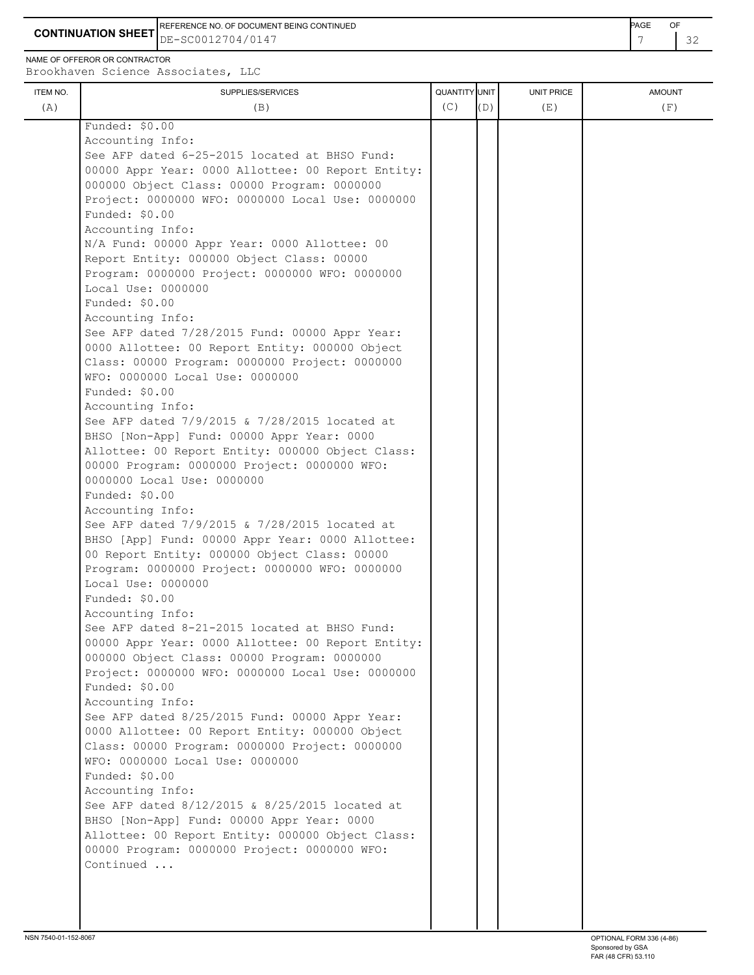**CONTINUATION SHEET** DE-SC0012704/0147 22 REFERENCE NO. OF DOCUMENT BEING CONTINUED **Example 20 and 20 and 20 and 20 and 20 and 20 and 20 and 20 and 20 and 20 and 20 and 20 and 20 and 20 and 20 and 20 and 20 and 20 and 20 and 20 and 20 and 20 and 20 and 20 and 20** 

NAME OF OFFEROR OR CONTRACTOR

| ITEM NO. | SUPPLIES/SERVICES                                 | QUANTITY UNIT |     | <b>UNIT PRICE</b> | <b>AMOUNT</b> |
|----------|---------------------------------------------------|---------------|-----|-------------------|---------------|
| (A)      | (B)                                               | (C)           | (D) | (E)               | (F)           |
|          | Funded: \$0.00                                    |               |     |                   |               |
|          | Accounting Info:                                  |               |     |                   |               |
|          | See AFP dated 6-25-2015 located at BHSO Fund:     |               |     |                   |               |
|          | 00000 Appr Year: 0000 Allottee: 00 Report Entity: |               |     |                   |               |
|          | 000000 Object Class: 00000 Program: 0000000       |               |     |                   |               |
|          | Project: 0000000 WFO: 0000000 Local Use: 0000000  |               |     |                   |               |
|          | Funded: \$0.00                                    |               |     |                   |               |
|          | Accounting Info:                                  |               |     |                   |               |
|          | N/A Fund: 00000 Appr Year: 0000 Allottee: 00      |               |     |                   |               |
|          | Report Entity: 000000 Object Class: 00000         |               |     |                   |               |
|          | Program: 0000000 Project: 0000000 WFO: 0000000    |               |     |                   |               |
|          | Local Use: 0000000                                |               |     |                   |               |
|          | Funded: \$0.00                                    |               |     |                   |               |
|          | Accounting Info:                                  |               |     |                   |               |
|          | See AFP dated 7/28/2015 Fund: 00000 Appr Year:    |               |     |                   |               |
|          | 0000 Allottee: 00 Report Entity: 000000 Object    |               |     |                   |               |
|          | Class: 00000 Program: 0000000 Project: 0000000    |               |     |                   |               |
|          | WFO: 0000000 Local Use: 0000000                   |               |     |                   |               |
|          | Funded: \$0.00                                    |               |     |                   |               |
|          | Accounting Info:                                  |               |     |                   |               |
|          | See AFP dated 7/9/2015 & 7/28/2015 located at     |               |     |                   |               |
|          | BHSO [Non-App] Fund: 00000 Appr Year: 0000        |               |     |                   |               |
|          | Allottee: 00 Report Entity: 000000 Object Class:  |               |     |                   |               |
|          | 00000 Program: 0000000 Project: 0000000 WFO:      |               |     |                   |               |
|          | 0000000 Local Use: 0000000                        |               |     |                   |               |
|          | Funded: \$0.00                                    |               |     |                   |               |
|          | Accounting Info:                                  |               |     |                   |               |
|          | See AFP dated 7/9/2015 & 7/28/2015 located at     |               |     |                   |               |
|          | BHSO [App] Fund: 00000 Appr Year: 0000 Allottee:  |               |     |                   |               |
|          | 00 Report Entity: 000000 Object Class: 00000      |               |     |                   |               |
|          | Program: 0000000 Project: 0000000 WFO: 0000000    |               |     |                   |               |
|          | Local Use: 0000000                                |               |     |                   |               |
|          | Funded: \$0.00                                    |               |     |                   |               |
|          | Accounting Info:                                  |               |     |                   |               |
|          | See AFP dated 8-21-2015 located at BHSO Fund:     |               |     |                   |               |
|          | 00000 Appr Year: 0000 Allottee: 00 Report Entity: |               |     |                   |               |
|          | 000000 Object Class: 00000 Program: 0000000       |               |     |                   |               |
|          | Project: 0000000 WFO: 0000000 Local Use: 0000000  |               |     |                   |               |
|          | Funded: \$0.00                                    |               |     |                   |               |
|          | Accounting Info:                                  |               |     |                   |               |
|          | See AFP dated 8/25/2015 Fund: 00000 Appr Year:    |               |     |                   |               |
|          | 0000 Allottee: 00 Report Entity: 000000 Object    |               |     |                   |               |
|          | Class: 00000 Program: 0000000 Project: 0000000    |               |     |                   |               |
|          | WFO: 0000000 Local Use: 0000000                   |               |     |                   |               |
|          | Funded: \$0.00                                    |               |     |                   |               |
|          | Accounting Info:                                  |               |     |                   |               |
|          | See AFP dated 8/12/2015 & 8/25/2015 located at    |               |     |                   |               |
|          | BHSO [Non-App] Fund: 00000 Appr Year: 0000        |               |     |                   |               |
|          | Allottee: 00 Report Entity: 000000 Object Class:  |               |     |                   |               |
|          | 00000 Program: 0000000 Project: 0000000 WFO:      |               |     |                   |               |
|          | Continued                                         |               |     |                   |               |
|          |                                                   |               |     |                   |               |
|          |                                                   |               |     |                   |               |
|          |                                                   |               |     |                   |               |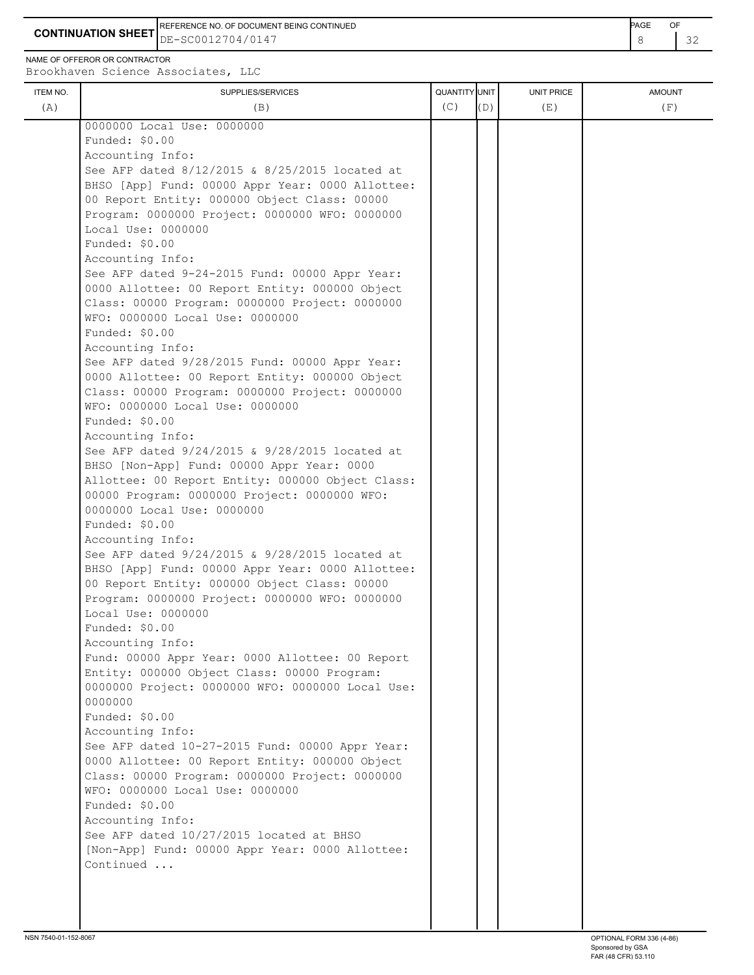**CONTINUATION SHEET** DE-SC0012704/0147 **8** 32 REFERENCE NO. OF DOCUMENT BEING CONTINUED **EXAMPLE 2008** PAGE OF

NAME OF OFFEROR OR CONTRACTOR

| ITEM NO. | SUPPLIES/SERVICES                                | QUANTITY UNIT |     | UNIT PRICE | <b>AMOUNT</b> |
|----------|--------------------------------------------------|---------------|-----|------------|---------------|
| (A)      | (B)                                              | (C)           | (D) | (E)        | (F)           |
|          | 0000000 Local Use: 0000000                       |               |     |            |               |
|          | Funded: \$0.00                                   |               |     |            |               |
|          | Accounting Info:                                 |               |     |            |               |
|          | See AFP dated 8/12/2015 & 8/25/2015 located at   |               |     |            |               |
|          | BHSO [App] Fund: 00000 Appr Year: 0000 Allottee: |               |     |            |               |
|          | 00 Report Entity: 000000 Object Class: 00000     |               |     |            |               |
|          | Program: 0000000 Project: 0000000 WFO: 0000000   |               |     |            |               |
|          | Local Use: 0000000                               |               |     |            |               |
|          | Funded: \$0.00                                   |               |     |            |               |
|          | Accounting Info:                                 |               |     |            |               |
|          | See AFP dated 9-24-2015 Fund: 00000 Appr Year:   |               |     |            |               |
|          | 0000 Allottee: 00 Report Entity: 000000 Object   |               |     |            |               |
|          | Class: 00000 Program: 0000000 Project: 0000000   |               |     |            |               |
|          | WFO: 0000000 Local Use: 0000000                  |               |     |            |               |
|          | Funded: \$0.00                                   |               |     |            |               |
|          | Accounting Info:                                 |               |     |            |               |
|          | See AFP dated 9/28/2015 Fund: 00000 Appr Year:   |               |     |            |               |
|          | 0000 Allottee: 00 Report Entity: 000000 Object   |               |     |            |               |
|          | Class: 00000 Program: 0000000 Project: 0000000   |               |     |            |               |
|          | WFO: 0000000 Local Use: 0000000                  |               |     |            |               |
|          | Funded: \$0.00                                   |               |     |            |               |
|          | Accounting Info:                                 |               |     |            |               |
|          | See AFP dated 9/24/2015 & 9/28/2015 located at   |               |     |            |               |
|          | BHSO [Non-App] Fund: 00000 Appr Year: 0000       |               |     |            |               |
|          | Allottee: 00 Report Entity: 000000 Object Class: |               |     |            |               |
|          | 00000 Program: 0000000 Project: 0000000 WFO:     |               |     |            |               |
|          | 0000000 Local Use: 0000000                       |               |     |            |               |
|          | Funded: \$0.00                                   |               |     |            |               |
|          | Accounting Info:                                 |               |     |            |               |
|          | See AFP dated 9/24/2015 & 9/28/2015 located at   |               |     |            |               |
|          | BHSO [App] Fund: 00000 Appr Year: 0000 Allottee: |               |     |            |               |
|          | 00 Report Entity: 000000 Object Class: 00000     |               |     |            |               |
|          | Program: 0000000 Project: 0000000 WFO: 0000000   |               |     |            |               |
|          | Local Use: 0000000                               |               |     |            |               |
|          | Funded: \$0.00                                   |               |     |            |               |
|          | Accounting Info:                                 |               |     |            |               |
|          | Fund: 00000 Appr Year: 0000 Allottee: 00 Report  |               |     |            |               |
|          | Entity: 000000 Object Class: 00000 Program:      |               |     |            |               |
|          | 0000000 Project: 0000000 WFO: 0000000 Local Use: |               |     |            |               |
|          | 0000000                                          |               |     |            |               |
|          | Funded: \$0.00                                   |               |     |            |               |
|          | Accounting Info:                                 |               |     |            |               |
|          | See AFP dated 10-27-2015 Fund: 00000 Appr Year:  |               |     |            |               |
|          | 0000 Allottee: 00 Report Entity: 000000 Object   |               |     |            |               |
|          | Class: 00000 Program: 0000000 Project: 0000000   |               |     |            |               |
|          | WFO: 0000000 Local Use: 0000000                  |               |     |            |               |
|          | Funded: \$0.00                                   |               |     |            |               |
|          | Accounting Info:                                 |               |     |            |               |
|          | See AFP dated 10/27/2015 located at BHSO         |               |     |            |               |
|          | [Non-App] Fund: 00000 Appr Year: 0000 Allottee:  |               |     |            |               |
|          | Continued                                        |               |     |            |               |
|          |                                                  |               |     |            |               |
|          |                                                  |               |     |            |               |
|          |                                                  |               |     |            |               |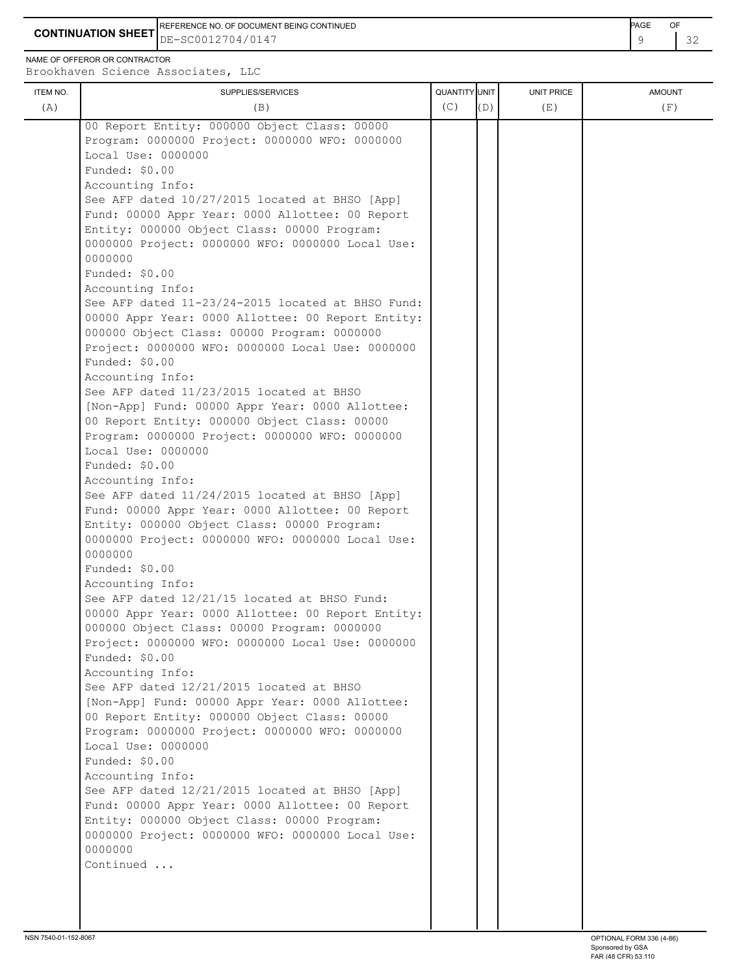**CONTINUATION SHEET** DE-SC0012704/0147 **CONTINUATION SHEET**  $\begin{bmatrix} 9 & 32 \end{bmatrix}$ REFERENCE NO. OF DOCUMENT BEING CONTINUED **Example 2008** PAGE OF

NAME OF OFFEROR OR CONTRACTOR

| ITEM NO. | DIOOKHQVCH DOICHCC ASSOCIACCS, BBC<br>SUPPLIES/SERVICES                                          | QUANTITY UNIT |     | <b>UNIT PRICE</b> | <b>AMOUNT</b> |
|----------|--------------------------------------------------------------------------------------------------|---------------|-----|-------------------|---------------|
| (A)      | (B)                                                                                              | (C)           | (D) | (E)               | (F)           |
|          | 00 Report Entity: 000000 Object Class: 00000                                                     |               |     |                   |               |
|          | Program: 0000000 Project: 0000000 WFO: 0000000                                                   |               |     |                   |               |
|          | Local Use: 0000000                                                                               |               |     |                   |               |
|          | Funded: \$0.00                                                                                   |               |     |                   |               |
|          | Accounting Info:                                                                                 |               |     |                   |               |
|          | See AFP dated 10/27/2015 located at BHSO [App]                                                   |               |     |                   |               |
|          | Fund: 00000 Appr Year: 0000 Allottee: 00 Report                                                  |               |     |                   |               |
|          | Entity: 000000 Object Class: 00000 Program:                                                      |               |     |                   |               |
|          | 0000000 Project: 0000000 WFO: 0000000 Local Use:                                                 |               |     |                   |               |
|          | 0000000                                                                                          |               |     |                   |               |
|          | Funded: \$0.00                                                                                   |               |     |                   |               |
|          | Accounting Info:                                                                                 |               |     |                   |               |
|          | See AFP dated 11-23/24-2015 located at BHSO Fund:                                                |               |     |                   |               |
|          | 00000 Appr Year: 0000 Allottee: 00 Report Entity:                                                |               |     |                   |               |
|          | 000000 Object Class: 00000 Program: 0000000<br>Project: 0000000 WFO: 0000000 Local Use: 0000000  |               |     |                   |               |
|          | Funded: \$0.00                                                                                   |               |     |                   |               |
|          | Accounting Info:                                                                                 |               |     |                   |               |
|          | See AFP dated 11/23/2015 located at BHSO                                                         |               |     |                   |               |
|          | [Non-App] Fund: 00000 Appr Year: 0000 Allottee:                                                  |               |     |                   |               |
|          | 00 Report Entity: 000000 Object Class: 00000                                                     |               |     |                   |               |
|          | Program: 0000000 Project: 0000000 WFO: 0000000                                                   |               |     |                   |               |
|          | Local Use: 0000000                                                                               |               |     |                   |               |
|          | Funded: \$0.00                                                                                   |               |     |                   |               |
|          | Accounting Info:                                                                                 |               |     |                   |               |
|          | See AFP dated 11/24/2015 located at BHSO [App]                                                   |               |     |                   |               |
|          | Fund: 00000 Appr Year: 0000 Allottee: 00 Report                                                  |               |     |                   |               |
|          | Entity: 000000 Object Class: 00000 Program:                                                      |               |     |                   |               |
|          | 0000000 Project: 0000000 WFO: 0000000 Local Use:                                                 |               |     |                   |               |
|          | 0000000                                                                                          |               |     |                   |               |
|          | Funded: \$0.00                                                                                   |               |     |                   |               |
|          | Accounting Info:                                                                                 |               |     |                   |               |
|          | See AFP dated 12/21/15 located at BHSO Fund:                                                     |               |     |                   |               |
|          | 00000 Appr Year: 0000 Allottee: 00 Report Entity:<br>000000 Object Class: 00000 Program: 0000000 |               |     |                   |               |
|          | Project: 0000000 WFO: 0000000 Local Use: 0000000                                                 |               |     |                   |               |
|          | Funded: \$0.00                                                                                   |               |     |                   |               |
|          | Accounting Info:                                                                                 |               |     |                   |               |
|          | See AFP dated 12/21/2015 located at BHSO                                                         |               |     |                   |               |
|          | [Non-App] Fund: 00000 Appr Year: 0000 Allottee:                                                  |               |     |                   |               |
|          | 00 Report Entity: 000000 Object Class: 00000                                                     |               |     |                   |               |
|          | Program: 0000000 Project: 0000000 WFO: 0000000                                                   |               |     |                   |               |
|          | Local Use: 0000000                                                                               |               |     |                   |               |
|          | Funded: \$0.00                                                                                   |               |     |                   |               |
|          | Accounting Info:                                                                                 |               |     |                   |               |
|          | See AFP dated 12/21/2015 located at BHSO [App]                                                   |               |     |                   |               |
|          | Fund: 00000 Appr Year: 0000 Allottee: 00 Report                                                  |               |     |                   |               |
|          | Entity: 000000 Object Class: 00000 Program:                                                      |               |     |                   |               |
|          | 0000000 Project: 0000000 WFO: 0000000 Local Use:                                                 |               |     |                   |               |
|          | 0000000                                                                                          |               |     |                   |               |
|          | Continued                                                                                        |               |     |                   |               |
|          |                                                                                                  |               |     |                   |               |
|          |                                                                                                  |               |     |                   |               |
|          |                                                                                                  |               |     |                   |               |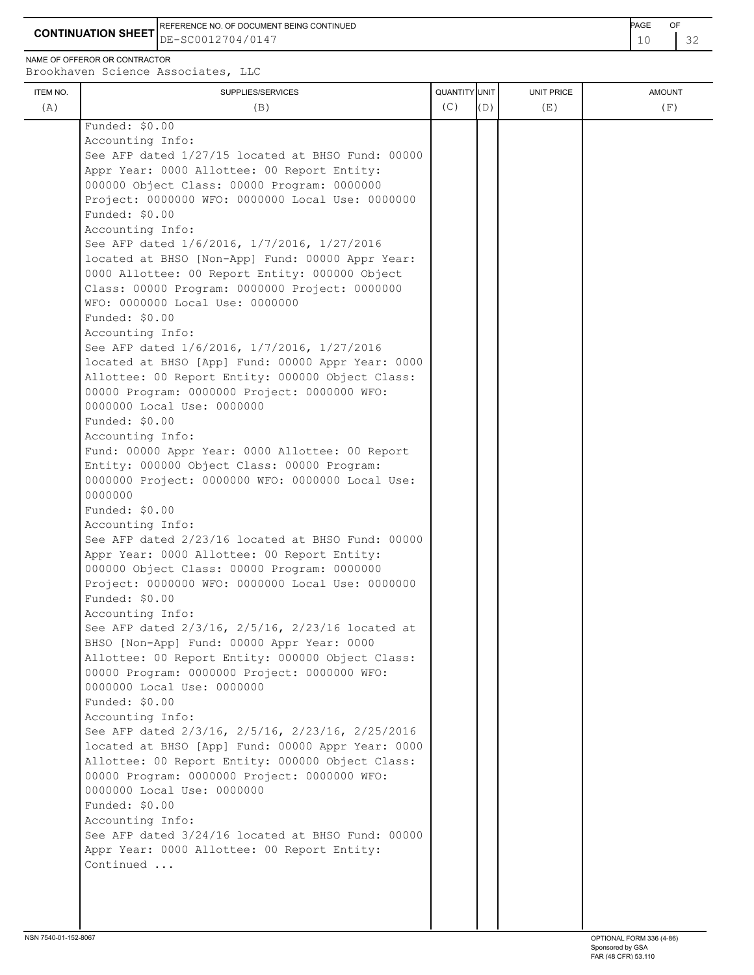**CONTINUATION SHEET**  $DE-SC0012704/0147$   $10$ REFERENCE NO. OF DOCUMENT BEING CONTINUED **AGE OF A SECOND ACTION OF A SECOND-** PAGE OF

DE-SC0012704/0147

NAME OF OFFEROR OR CONTRACTOR

ITEM NO. ┃ SUPPLIES/SERVICES UNIT PRICE AMOUNT Brookhaven Science Associates, LLC (A)  $(B)$  (B)  $(C)$   $(D)$  (E)  $(E)$  (F) Funded: \$0.00 Accounting Info: See AFP dated 1/27/15 located at BHSO Fund: 00000 Appr Year: 0000 Allottee: 00 Report Entity: 000000 Object Class: 00000 Program: 0000000 Project: 0000000 WFO: 0000000 Local Use: 0000000 Funded: \$0.00 Accounting Info: See AFP dated 1/6/2016, 1/7/2016, 1/27/2016 located at BHSO [Non-App] Fund: 00000 Appr Year: 0000 Allottee: 00 Report Entity: 000000 Object Class: 00000 Program: 0000000 Project: 0000000 WFO: 0000000 Local Use: 0000000 Funded: \$0.00 Accounting Info: See AFP dated 1/6/2016, 1/7/2016, 1/27/2016 located at BHSO [App] Fund: 00000 Appr Year: 0000 Allottee: 00 Report Entity: 000000 Object Class: 00000 Program: 0000000 Project: 0000000 WFO: 0000000 Local Use: 0000000 Funded: \$0.00 Accounting Info: Fund: 00000 Appr Year: 0000 Allottee: 00 Report Entity: 000000 Object Class: 00000 Program: 0000000 Project: 0000000 WFO: 0000000 Local Use: 0000000 Funded: \$0.00 Accounting Info: See AFP dated 2/23/16 located at BHSO Fund: 00000 Appr Year: 0000 Allottee: 00 Report Entity: 000000 Object Class: 00000 Program: 0000000 Project: 0000000 WFO: 0000000 Local Use: 0000000 Funded: \$0.00 Accounting Info: See AFP dated 2/3/16, 2/5/16, 2/23/16 located at BHSO [Non-App] Fund: 00000 Appr Year: 0000 Allottee: 00 Report Entity: 000000 Object Class: 00000 Program: 0000000 Project: 0000000 WFO: 0000000 Local Use: 0000000 Funded: \$0.00 Accounting Info: See AFP dated 2/3/16, 2/5/16, 2/23/16, 2/25/2016 located at BHSO [App] Fund: 00000 Appr Year: 0000 Allottee: 00 Report Entity: 000000 Object Class: 00000 Program: 0000000 Project: 0000000 WFO: 0000000 Local Use: 0000000 Funded: \$0.00 Accounting Info: See AFP dated 3/24/16 located at BHSO Fund: 00000 Appr Year: 0000 Allottee: 00 Report Entity: Continued ...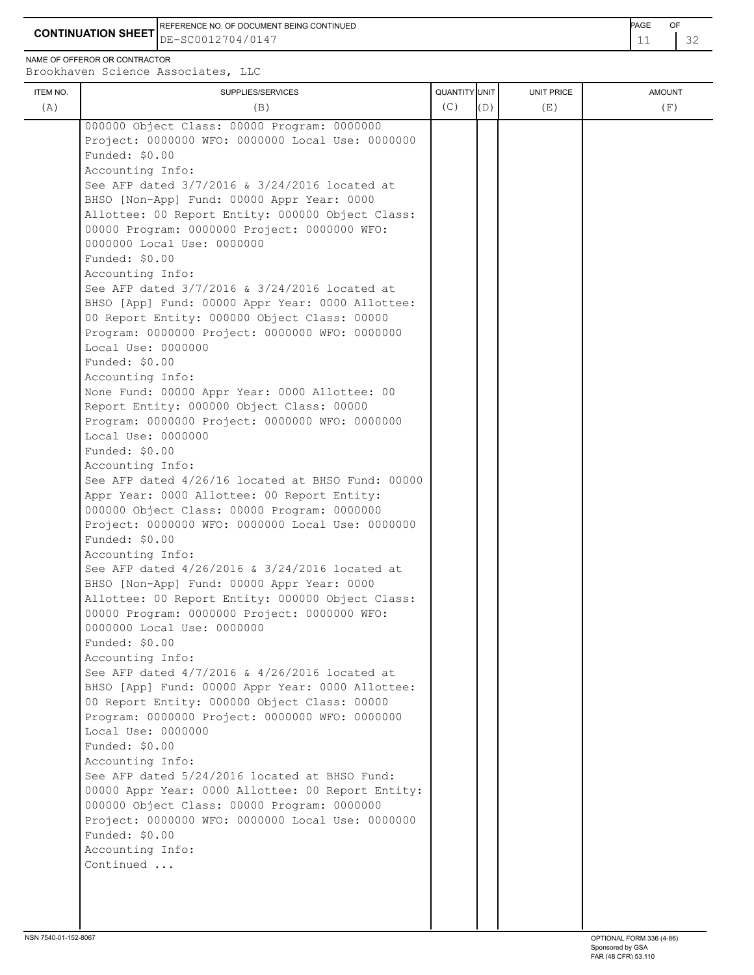**CONTINUATION SHEET** DE-SC0012704/0147 **11 22** REFERENCE NO. OF DOCUMENT BEING CONTINUED **Example 2008** PAGE OF

NAME OF OFFEROR OR CONTRACTOR

| ITEM NO. | SUPPLIES/SERVICES                                                 | QUANTITY UNIT |     | UNIT PRICE | <b>AMOUNT</b> |
|----------|-------------------------------------------------------------------|---------------|-----|------------|---------------|
| (A)      | (B)                                                               | (C)           | (D) | (E)        | (F)           |
|          |                                                                   |               |     |            |               |
|          | 000000 Object Class: 00000 Program: 0000000                       |               |     |            |               |
|          | Project: 0000000 WFO: 0000000 Local Use: 0000000                  |               |     |            |               |
|          | Funded: \$0.00                                                    |               |     |            |               |
|          | Accounting Info:<br>See AFP dated 3/7/2016 & 3/24/2016 located at |               |     |            |               |
|          | BHSO [Non-App] Fund: 00000 Appr Year: 0000                        |               |     |            |               |
|          | Allottee: 00 Report Entity: 000000 Object Class:                  |               |     |            |               |
|          | 00000 Program: 0000000 Project: 0000000 WFO:                      |               |     |            |               |
|          | 0000000 Local Use: 0000000                                        |               |     |            |               |
|          | Funded: $$0.00$                                                   |               |     |            |               |
|          | Accounting Info:                                                  |               |     |            |               |
|          | See AFP dated 3/7/2016 & 3/24/2016 located at                     |               |     |            |               |
|          | BHSO [App] Fund: 00000 Appr Year: 0000 Allottee:                  |               |     |            |               |
|          | 00 Report Entity: 000000 Object Class: 00000                      |               |     |            |               |
|          | Program: 0000000 Project: 0000000 WFO: 0000000                    |               |     |            |               |
|          | Local Use: 0000000                                                |               |     |            |               |
|          | Funded: $$0.00$                                                   |               |     |            |               |
|          | Accounting Info:                                                  |               |     |            |               |
|          | None Fund: 00000 Appr Year: 0000 Allottee: 00                     |               |     |            |               |
|          | Report Entity: 000000 Object Class: 00000                         |               |     |            |               |
|          | Program: 0000000 Project: 0000000 WFO: 0000000                    |               |     |            |               |
|          | Local Use: 0000000                                                |               |     |            |               |
|          | Funded: \$0.00                                                    |               |     |            |               |
|          | Accounting Info:                                                  |               |     |            |               |
|          | See AFP dated 4/26/16 located at BHSO Fund: 00000                 |               |     |            |               |
|          | Appr Year: 0000 Allottee: 00 Report Entity:                       |               |     |            |               |
|          | 000000 Object Class: 00000 Program: 0000000                       |               |     |            |               |
|          | Project: 0000000 WFO: 0000000 Local Use: 0000000                  |               |     |            |               |
|          | Funded: \$0.00                                                    |               |     |            |               |
|          | Accounting Info:                                                  |               |     |            |               |
|          | See AFP dated 4/26/2016 & 3/24/2016 located at                    |               |     |            |               |
|          | BHSO [Non-App] Fund: 00000 Appr Year: 0000                        |               |     |            |               |
|          | Allottee: 00 Report Entity: 000000 Object Class:                  |               |     |            |               |
|          | 00000 Program: 0000000 Project: 0000000 WFO:                      |               |     |            |               |
|          | 0000000 Local Use: 0000000                                        |               |     |            |               |
|          | Funded: \$0.00                                                    |               |     |            |               |
|          | Accounting Info:<br>See AFP dated 4/7/2016 & 4/26/2016 located at |               |     |            |               |
|          | BHSO [App] Fund: 00000 Appr Year: 0000 Allottee:                  |               |     |            |               |
|          | 00 Report Entity: 000000 Object Class: 00000                      |               |     |            |               |
|          | Program: 0000000 Project: 0000000 WFO: 0000000                    |               |     |            |               |
|          | Local Use: 0000000                                                |               |     |            |               |
|          | Funded: \$0.00                                                    |               |     |            |               |
|          | Accounting Info:                                                  |               |     |            |               |
|          | See AFP dated 5/24/2016 located at BHSO Fund:                     |               |     |            |               |
|          | 00000 Appr Year: 0000 Allottee: 00 Report Entity:                 |               |     |            |               |
|          | 000000 Object Class: 00000 Program: 0000000                       |               |     |            |               |
|          | Project: 0000000 WFO: 0000000 Local Use: 0000000                  |               |     |            |               |
|          | Funded: \$0.00                                                    |               |     |            |               |
|          | Accounting Info:                                                  |               |     |            |               |
|          | Continued                                                         |               |     |            |               |
|          |                                                                   |               |     |            |               |
|          |                                                                   |               |     |            |               |
|          |                                                                   |               |     |            |               |
|          |                                                                   |               |     |            |               |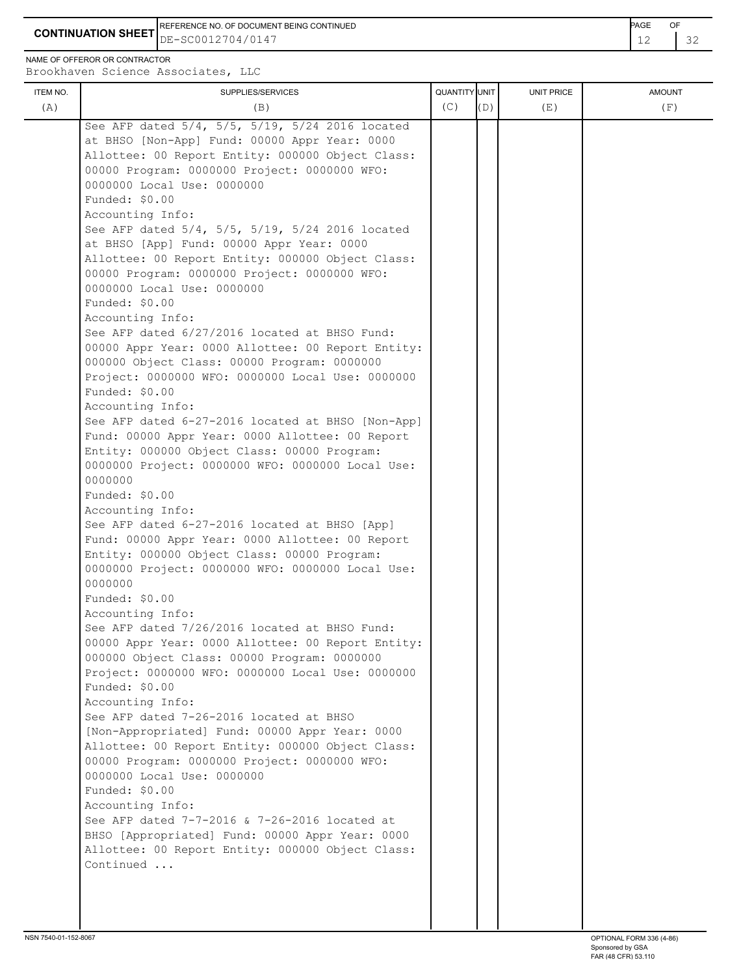**CONTINUATION SHEET** DE-SC0012704/0147 22 REFERENCE NO. OF DOCUMENT BEING CONTINUED **Example 2008** PAGE OF

NAME OF OFFEROR OR CONTRACTOR

| ITEM NO.<br>(A) | SUPPLIES/SERVICES<br>(B)                                                                                                                                                                                                                                                                                                                                                                                                                                                                                                                                                                                                                                                                                                                                                                                                                                                                                                                                                                                                                                                                                                                                                                                                                                                                                                                                                                                                                                                                                                                                                                                                                                                                                                                                                                                                                                                                                                                                                                                     | QUANTITY UNIT<br>(C) | (D) | UNIT PRICE<br>(E) | <b>AMOUNT</b><br>(F) |
|-----------------|--------------------------------------------------------------------------------------------------------------------------------------------------------------------------------------------------------------------------------------------------------------------------------------------------------------------------------------------------------------------------------------------------------------------------------------------------------------------------------------------------------------------------------------------------------------------------------------------------------------------------------------------------------------------------------------------------------------------------------------------------------------------------------------------------------------------------------------------------------------------------------------------------------------------------------------------------------------------------------------------------------------------------------------------------------------------------------------------------------------------------------------------------------------------------------------------------------------------------------------------------------------------------------------------------------------------------------------------------------------------------------------------------------------------------------------------------------------------------------------------------------------------------------------------------------------------------------------------------------------------------------------------------------------------------------------------------------------------------------------------------------------------------------------------------------------------------------------------------------------------------------------------------------------------------------------------------------------------------------------------------------------|----------------------|-----|-------------------|----------------------|
|                 | See AFP dated 5/4, 5/5, 5/19, 5/24 2016 located<br>at BHSO [Non-App] Fund: 00000 Appr Year: 0000<br>Allottee: 00 Report Entity: 000000 Object Class:<br>00000 Program: 0000000 Project: 0000000 WFO:<br>0000000 Local Use: 0000000<br>Funded: \$0.00<br>Accounting Info:<br>See AFP dated 5/4, 5/5, 5/19, 5/24 2016 located<br>at BHSO [App] Fund: 00000 Appr Year: 0000<br>Allottee: 00 Report Entity: 000000 Object Class:<br>00000 Program: 0000000 Project: 0000000 WFO:<br>0000000 Local Use: 0000000<br>Funded: \$0.00<br>Accounting Info:<br>See AFP dated 6/27/2016 located at BHSO Fund:<br>00000 Appr Year: 0000 Allottee: 00 Report Entity:<br>000000 Object Class: 00000 Program: 0000000<br>Project: 0000000 WFO: 0000000 Local Use: 0000000<br>Funded: \$0.00<br>Accounting Info:<br>See AFP dated 6-27-2016 located at BHSO [Non-App]<br>Fund: 00000 Appr Year: 0000 Allottee: 00 Report<br>Entity: 000000 Object Class: 00000 Program:<br>0000000 Project: 0000000 WFO: 0000000 Local Use:<br>0000000<br>Funded: \$0.00<br>Accounting Info:<br>See AFP dated 6-27-2016 located at BHSO [App]<br>Fund: 00000 Appr Year: 0000 Allottee: 00 Report<br>Entity: 000000 Object Class: 00000 Program:<br>0000000 Project: 0000000 WFO: 0000000 Local Use:<br>0000000<br>Funded: \$0.00<br>Accounting Info:<br>See AFP dated 7/26/2016 located at BHSO Fund:<br>00000 Appr Year: 0000 Allottee: 00 Report Entity:<br>000000 Object Class: 00000 Program: 0000000<br>Project: 0000000 WFO: 0000000 Local Use: 0000000<br>Funded: \$0.00<br>Accounting Info:<br>See AFP dated 7-26-2016 located at BHSO<br>[Non-Appropriated] Fund: 00000 Appr Year: 0000<br>Allottee: 00 Report Entity: 000000 Object Class:<br>00000 Program: 0000000 Project: 0000000 WFO:<br>0000000 Local Use: 0000000<br>Funded: \$0.00<br>Accounting Info:<br>See AFP dated 7-7-2016 & 7-26-2016 located at<br>BHSO [Appropriated] Fund: 00000 Appr Year: 0000<br>Allottee: 00 Report Entity: 000000 Object Class:<br>Continued |                      |     |                   |                      |
|                 |                                                                                                                                                                                                                                                                                                                                                                                                                                                                                                                                                                                                                                                                                                                                                                                                                                                                                                                                                                                                                                                                                                                                                                                                                                                                                                                                                                                                                                                                                                                                                                                                                                                                                                                                                                                                                                                                                                                                                                                                              |                      |     |                   |                      |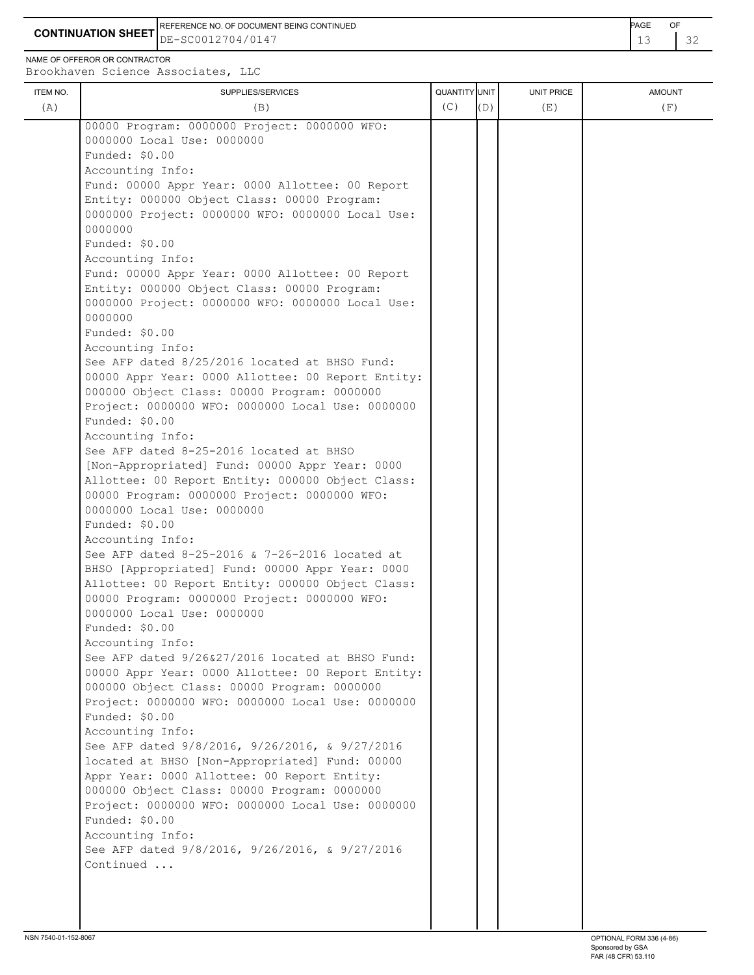REFERENCE NO. OF DOCUMENT BEING CONTINUED **Example 2008** PAGE OF

**CONTINUATION SHEET** DE-SC0012704/0147 **13** 2

NAME OF OFFEROR OR CONTRACTOR

| ITEM NO. | SUPPLIES/SERVICES                                                  | QUANTITY UNIT |     | <b>UNIT PRICE</b> | <b>AMOUNT</b> |
|----------|--------------------------------------------------------------------|---------------|-----|-------------------|---------------|
| (A)      | (B)                                                                | (C)           | (D) | (E)               | (F)           |
|          | 00000 Program: 0000000 Project: 0000000 WFO:                       |               |     |                   |               |
|          | 0000000 Local Use: 0000000                                         |               |     |                   |               |
|          | Funded: \$0.00                                                     |               |     |                   |               |
|          | Accounting Info:                                                   |               |     |                   |               |
|          | Fund: 00000 Appr Year: 0000 Allottee: 00 Report                    |               |     |                   |               |
|          | Entity: 000000 Object Class: 00000 Program:                        |               |     |                   |               |
|          | 0000000 Project: 0000000 WFO: 0000000 Local Use:                   |               |     |                   |               |
|          | 0000000                                                            |               |     |                   |               |
|          | Funded: \$0.00                                                     |               |     |                   |               |
|          | Accounting Info:                                                   |               |     |                   |               |
|          | Fund: 00000 Appr Year: 0000 Allottee: 00 Report                    |               |     |                   |               |
|          | Entity: 000000 Object Class: 00000 Program:                        |               |     |                   |               |
|          | 0000000 Project: 0000000 WFO: 0000000 Local Use:                   |               |     |                   |               |
|          | 0000000                                                            |               |     |                   |               |
|          | Funded: \$0.00                                                     |               |     |                   |               |
|          | Accounting Info:                                                   |               |     |                   |               |
|          | See AFP dated 8/25/2016 located at BHSO Fund:                      |               |     |                   |               |
|          | 00000 Appr Year: 0000 Allottee: 00 Report Entity:                  |               |     |                   |               |
|          | 000000 Object Class: 00000 Program: 0000000                        |               |     |                   |               |
|          | Project: 0000000 WFO: 0000000 Local Use: 0000000                   |               |     |                   |               |
|          | Funded: \$0.00                                                     |               |     |                   |               |
|          | Accounting Info:                                                   |               |     |                   |               |
|          | See AFP dated 8-25-2016 located at BHSO                            |               |     |                   |               |
|          | [Non-Appropriated] Fund: 00000 Appr Year: 0000                     |               |     |                   |               |
|          | Allottee: 00 Report Entity: 000000 Object Class:                   |               |     |                   |               |
|          | 00000 Program: 0000000 Project: 0000000 WFO:                       |               |     |                   |               |
|          | 0000000 Local Use: 0000000                                         |               |     |                   |               |
|          | Funded: \$0.00                                                     |               |     |                   |               |
|          | Accounting Info:                                                   |               |     |                   |               |
|          | See AFP dated 8-25-2016 & 7-26-2016 located at                     |               |     |                   |               |
|          | BHSO [Appropriated] Fund: 00000 Appr Year: 0000                    |               |     |                   |               |
|          | Allottee: 00 Report Entity: 000000 Object Class:                   |               |     |                   |               |
|          | 00000 Program: 0000000 Project: 0000000 WFO:                       |               |     |                   |               |
|          | 0000000 Local Use: 0000000                                         |               |     |                   |               |
|          | Funded: \$0.00                                                     |               |     |                   |               |
|          | Accounting Info:                                                   |               |     |                   |               |
|          | See AFP dated $9/26\&27/2016$ located at BHSO Fund:                |               |     |                   |               |
|          | 00000 Appr Year: 0000 Allottee: 00 Report Entity:                  |               |     |                   |               |
|          | 000000 Object Class: 00000 Program: 0000000                        |               |     |                   |               |
|          | Project: 0000000 WFO: 0000000 Local Use: 0000000                   |               |     |                   |               |
|          | Funded: \$0.00                                                     |               |     |                   |               |
|          | Accounting Info:                                                   |               |     |                   |               |
|          | See AFP dated 9/8/2016, 9/26/2016, & 9/27/2016                     |               |     |                   |               |
|          | located at BHSO [Non-Appropriated] Fund: 00000                     |               |     |                   |               |
|          | Appr Year: 0000 Allottee: 00 Report Entity:                        |               |     |                   |               |
|          | 000000 Object Class: 00000 Program: 0000000                        |               |     |                   |               |
|          | Project: 0000000 WFO: 0000000 Local Use: 0000000                   |               |     |                   |               |
|          | Funded: \$0.00                                                     |               |     |                   |               |
|          | Accounting Info:<br>See AFP dated 9/8/2016, 9/26/2016, & 9/27/2016 |               |     |                   |               |
|          | Continued                                                          |               |     |                   |               |
|          |                                                                    |               |     |                   |               |
|          |                                                                    |               |     |                   |               |
|          |                                                                    |               |     |                   |               |
|          |                                                                    |               |     |                   |               |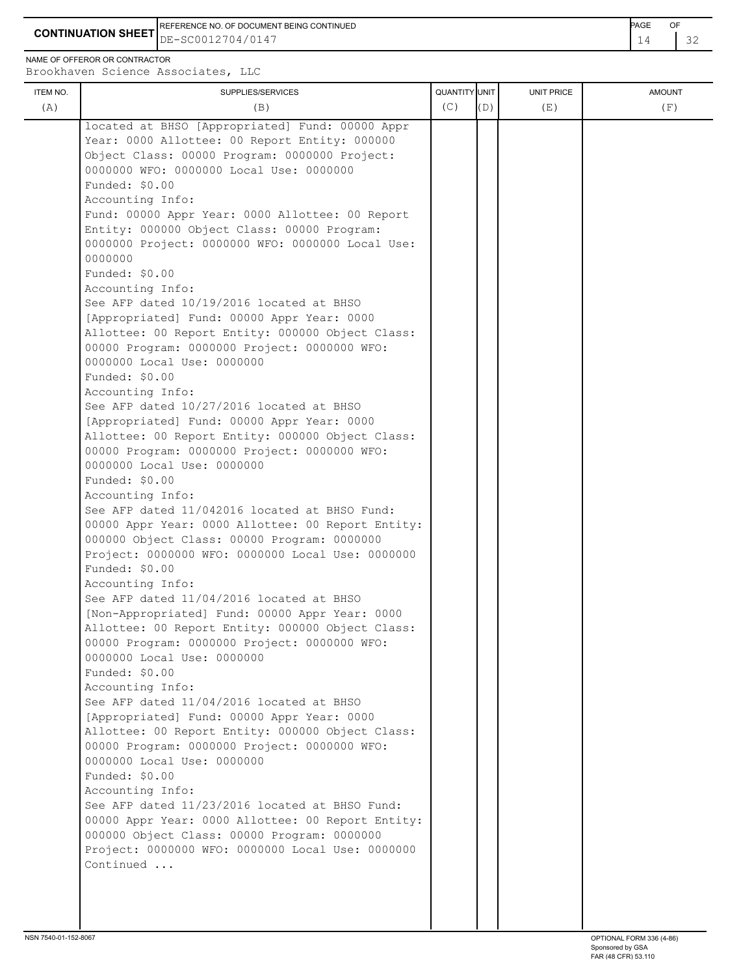**CONTINUATION SHEET** DE-SC0012704/0147 **14 2** 32 REFERENCE NO. OF DOCUMENT BEING CONTINUED **Example 2008** PAGE OF

NAME OF OFFEROR OR CONTRACTOR

| ITEM NO. | DIOOKHQVCH OCICHCC ASSOCIACCS, BBC<br>SUPPLIES/SERVICES                                    | QUANTITY UNIT |     | UNIT PRICE | <b>AMOUNT</b> |
|----------|--------------------------------------------------------------------------------------------|---------------|-----|------------|---------------|
| (A)      | (B)                                                                                        | (C)           | (D) | (E)        | (F)           |
|          | located at BHSO [Appropriated] Fund: 00000 Appr                                            |               |     |            |               |
|          | Year: 0000 Allottee: 00 Report Entity: 000000                                              |               |     |            |               |
|          | Object Class: 00000 Program: 0000000 Project:                                              |               |     |            |               |
|          | 0000000 WFO: 0000000 Local Use: 0000000<br>Funded: \$0.00                                  |               |     |            |               |
|          | Accounting Info:                                                                           |               |     |            |               |
|          | Fund: 00000 Appr Year: 0000 Allottee: 00 Report                                            |               |     |            |               |
|          | Entity: 000000 Object Class: 00000 Program:                                                |               |     |            |               |
|          | 0000000 Project: 0000000 WFO: 0000000 Local Use:                                           |               |     |            |               |
|          | 0000000                                                                                    |               |     |            |               |
|          | Funded: \$0.00                                                                             |               |     |            |               |
|          | Accounting Info:                                                                           |               |     |            |               |
|          | See AFP dated 10/19/2016 located at BHSO                                                   |               |     |            |               |
|          | [Appropriated] Fund: 00000 Appr Year: 0000                                                 |               |     |            |               |
|          | Allottee: 00 Report Entity: 000000 Object Class:                                           |               |     |            |               |
|          | 00000 Program: 0000000 Project: 0000000 WFO:                                               |               |     |            |               |
|          | 0000000 Local Use: 0000000                                                                 |               |     |            |               |
|          | Funded: \$0.00                                                                             |               |     |            |               |
|          | Accounting Info:                                                                           |               |     |            |               |
|          | See AFP dated 10/27/2016 located at BHSO<br>[Appropriated] Fund: 00000 Appr Year: 0000     |               |     |            |               |
|          | Allottee: 00 Report Entity: 000000 Object Class:                                           |               |     |            |               |
|          | 00000 Program: 0000000 Project: 0000000 WFO:                                               |               |     |            |               |
|          | 0000000 Local Use: 0000000                                                                 |               |     |            |               |
|          | Funded: \$0.00                                                                             |               |     |            |               |
|          | Accounting Info:                                                                           |               |     |            |               |
|          | See AFP dated 11/042016 located at BHSO Fund:                                              |               |     |            |               |
|          | 00000 Appr Year: 0000 Allottee: 00 Report Entity:                                          |               |     |            |               |
|          | 000000 Object Class: 00000 Program: 0000000                                                |               |     |            |               |
|          | Project: 0000000 WFO: 0000000 Local Use: 0000000                                           |               |     |            |               |
|          | Funded: \$0.00                                                                             |               |     |            |               |
|          | Accounting Info:                                                                           |               |     |            |               |
|          | See AFP dated 11/04/2016 located at BHSO<br>[Non-Appropriated] Fund: 00000 Appr Year: 0000 |               |     |            |               |
|          | Allottee: 00 Report Entity: 000000 Object Class:                                           |               |     |            |               |
|          | 00000 Program: 0000000 Project: 0000000 WFO:                                               |               |     |            |               |
|          | 0000000 Local Use: 0000000                                                                 |               |     |            |               |
|          | Funded: \$0.00                                                                             |               |     |            |               |
|          | Accounting Info:                                                                           |               |     |            |               |
|          | See AFP dated 11/04/2016 located at BHSO                                                   |               |     |            |               |
|          | [Appropriated] Fund: 00000 Appr Year: 0000                                                 |               |     |            |               |
|          | Allottee: 00 Report Entity: 000000 Object Class:                                           |               |     |            |               |
|          | 00000 Program: 0000000 Project: 0000000 WFO:                                               |               |     |            |               |
|          | 0000000 Local Use: 0000000                                                                 |               |     |            |               |
|          | Funded: \$0.00                                                                             |               |     |            |               |
|          | Accounting Info:<br>See AFP dated 11/23/2016 located at BHSO Fund:                         |               |     |            |               |
|          | 00000 Appr Year: 0000 Allottee: 00 Report Entity:                                          |               |     |            |               |
|          | 000000 Object Class: 00000 Program: 0000000                                                |               |     |            |               |
|          | Project: 0000000 WFO: 0000000 Local Use: 0000000                                           |               |     |            |               |
|          | Continued                                                                                  |               |     |            |               |
|          |                                                                                            |               |     |            |               |
|          |                                                                                            |               |     |            |               |
|          |                                                                                            |               |     |            |               |
|          |                                                                                            |               |     |            |               |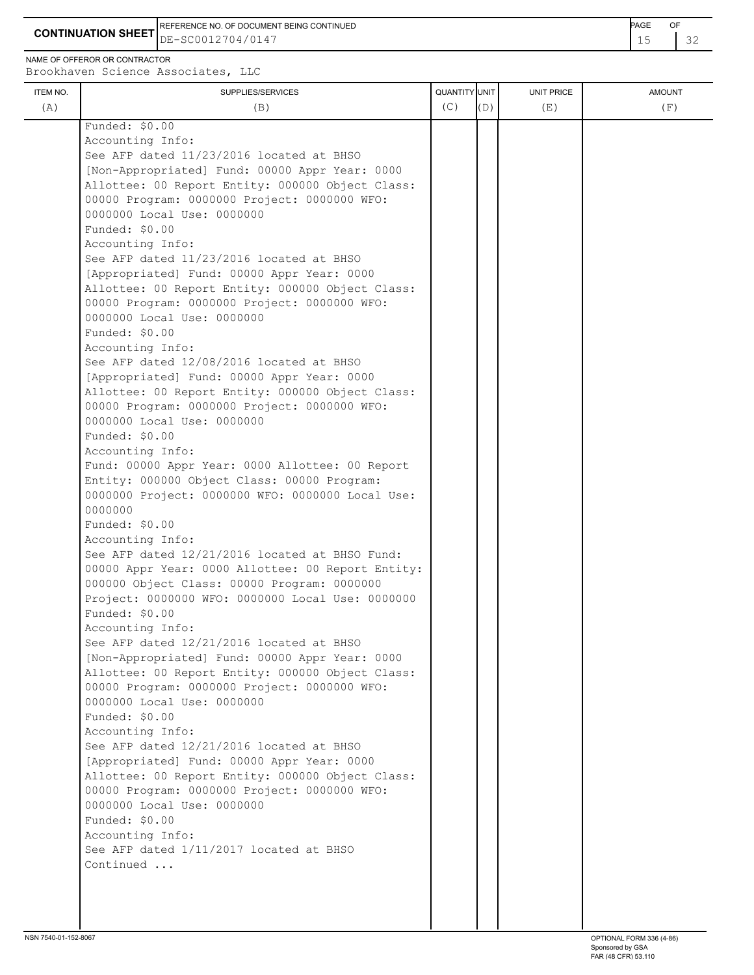**CONTINUATION SHEET** DE-SC0012704/0147 **15** 22 REFERENCE NO. OF DOCUMENT BEING CONTINUED **EXAMPLE 2008** PAGE OF

NAME OF OFFEROR OR CONTRACTOR

| ITEM NO. | SUPPLIES/SERVICES                                 | <b>QUANTITY</b> UNIT |     | UNIT PRICE | <b>AMOUNT</b> |
|----------|---------------------------------------------------|----------------------|-----|------------|---------------|
| (A)      | (B)                                               | (C)                  | (D) | (E)        | (F)           |
|          | Funded: \$0.00                                    |                      |     |            |               |
|          | Accounting Info:                                  |                      |     |            |               |
|          | See AFP dated 11/23/2016 located at BHSO          |                      |     |            |               |
|          | [Non-Appropriated] Fund: 00000 Appr Year: 0000    |                      |     |            |               |
|          | Allottee: 00 Report Entity: 000000 Object Class:  |                      |     |            |               |
|          | 00000 Program: 0000000 Project: 0000000 WFO:      |                      |     |            |               |
|          | 0000000 Local Use: 0000000                        |                      |     |            |               |
|          | Funded: \$0.00                                    |                      |     |            |               |
|          | Accounting Info:                                  |                      |     |            |               |
|          | See AFP dated 11/23/2016 located at BHSO          |                      |     |            |               |
|          | [Appropriated] Fund: 00000 Appr Year: 0000        |                      |     |            |               |
|          | Allottee: 00 Report Entity: 000000 Object Class:  |                      |     |            |               |
|          | 00000 Program: 0000000 Project: 0000000 WFO:      |                      |     |            |               |
|          | 0000000 Local Use: 0000000                        |                      |     |            |               |
|          | Funded: \$0.00                                    |                      |     |            |               |
|          | Accounting Info:                                  |                      |     |            |               |
|          | See AFP dated 12/08/2016 located at BHSO          |                      |     |            |               |
|          | [Appropriated] Fund: 00000 Appr Year: 0000        |                      |     |            |               |
|          | Allottee: 00 Report Entity: 000000 Object Class:  |                      |     |            |               |
|          | 00000 Program: 0000000 Project: 0000000 WFO:      |                      |     |            |               |
|          | 0000000 Local Use: 0000000                        |                      |     |            |               |
|          | Funded: \$0.00                                    |                      |     |            |               |
|          | Accounting Info:                                  |                      |     |            |               |
|          | Fund: 00000 Appr Year: 0000 Allottee: 00 Report   |                      |     |            |               |
|          | Entity: 000000 Object Class: 00000 Program:       |                      |     |            |               |
|          | 0000000 Project: 0000000 WFO: 0000000 Local Use:  |                      |     |            |               |
|          | 0000000                                           |                      |     |            |               |
|          | Funded: \$0.00                                    |                      |     |            |               |
|          | Accounting Info:                                  |                      |     |            |               |
|          | See AFP dated 12/21/2016 located at BHSO Fund:    |                      |     |            |               |
|          | 00000 Appr Year: 0000 Allottee: 00 Report Entity: |                      |     |            |               |
|          | 000000 Object Class: 00000 Program: 0000000       |                      |     |            |               |
|          | Project: 0000000 WFO: 0000000 Local Use: 0000000  |                      |     |            |               |
|          | Funded: \$0.00                                    |                      |     |            |               |
|          | Accounting Info:                                  |                      |     |            |               |
|          | See AFP dated 12/21/2016 located at BHSO          |                      |     |            |               |
|          | [Non-Appropriated] Fund: 00000 Appr Year: 0000    |                      |     |            |               |
|          | Allottee: 00 Report Entity: 000000 Object Class:  |                      |     |            |               |
|          | 00000 Program: 0000000 Project: 0000000 WFO:      |                      |     |            |               |
|          | 0000000 Local Use: 0000000                        |                      |     |            |               |
|          | Funded: \$0.00                                    |                      |     |            |               |
|          | Accounting Info:                                  |                      |     |            |               |
|          | See AFP dated 12/21/2016 located at BHSO          |                      |     |            |               |
|          | [Appropriated] Fund: 00000 Appr Year: 0000        |                      |     |            |               |
|          | Allottee: 00 Report Entity: 000000 Object Class:  |                      |     |            |               |
|          | 00000 Program: 0000000 Project: 0000000 WFO:      |                      |     |            |               |
|          | 0000000 Local Use: 0000000                        |                      |     |            |               |
|          | Funded: \$0.00                                    |                      |     |            |               |
|          | Accounting Info:                                  |                      |     |            |               |
|          | See AFP dated 1/11/2017 located at BHSO           |                      |     |            |               |
|          | Continued                                         |                      |     |            |               |
|          |                                                   |                      |     |            |               |
|          |                                                   |                      |     |            |               |
|          |                                                   |                      |     |            |               |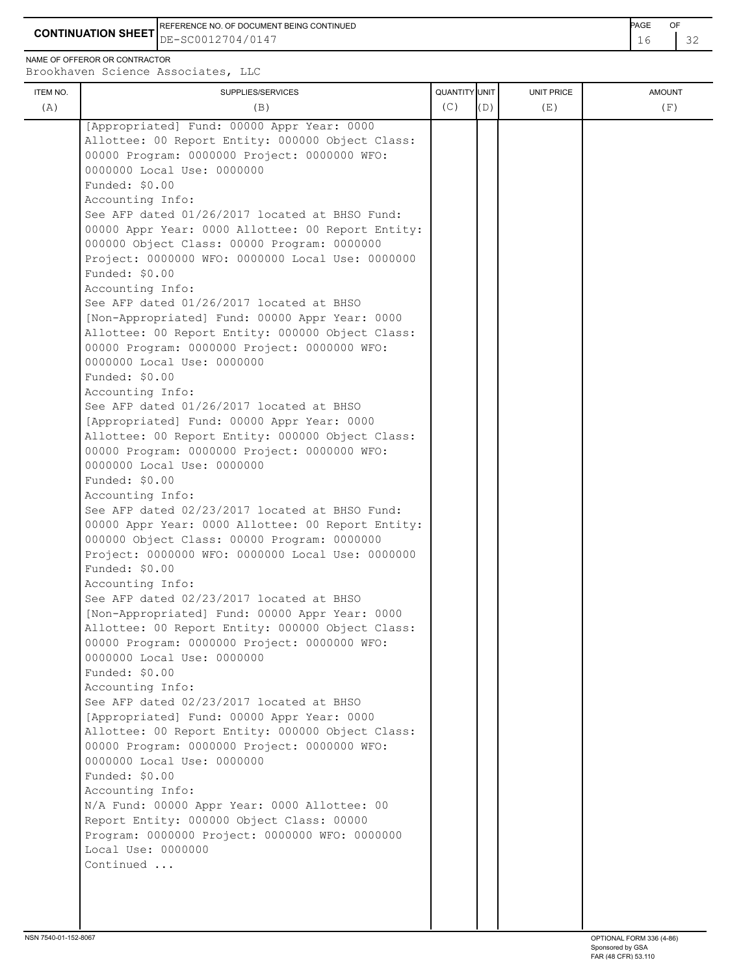**CONTINUATION SHEET** DE-SC0012704/0147 **16 22** REFERENCE NO. OF DOCUMENT BEING CONTINUED **Example 2008** PAGE OF

NAME OF OFFEROR OR CONTRACTOR

Brookhaven Science Associates, LLC

|                                                                                                                                                                                                                                                                                                                                                                                                                                                                                                                                                                                                                                                                                                                                                                                                                                                                                                                                                                                                                                                                                                                                                                                                                                                                                                                                                                                                                                                                                                                                                                                                                                                                                                                                                                                                                                                                                                                                                                                      | QUANTITY UNIT | <b>UNIT PRICE</b> | <b>AMOUNT</b> |
|--------------------------------------------------------------------------------------------------------------------------------------------------------------------------------------------------------------------------------------------------------------------------------------------------------------------------------------------------------------------------------------------------------------------------------------------------------------------------------------------------------------------------------------------------------------------------------------------------------------------------------------------------------------------------------------------------------------------------------------------------------------------------------------------------------------------------------------------------------------------------------------------------------------------------------------------------------------------------------------------------------------------------------------------------------------------------------------------------------------------------------------------------------------------------------------------------------------------------------------------------------------------------------------------------------------------------------------------------------------------------------------------------------------------------------------------------------------------------------------------------------------------------------------------------------------------------------------------------------------------------------------------------------------------------------------------------------------------------------------------------------------------------------------------------------------------------------------------------------------------------------------------------------------------------------------------------------------------------------------|---------------|-------------------|---------------|
| (A)<br>(B)                                                                                                                                                                                                                                                                                                                                                                                                                                                                                                                                                                                                                                                                                                                                                                                                                                                                                                                                                                                                                                                                                                                                                                                                                                                                                                                                                                                                                                                                                                                                                                                                                                                                                                                                                                                                                                                                                                                                                                           | (C)           | (D)<br>(E)        | (F)           |
| [Appropriated] Fund: 00000 Appr Year: 0000<br>Allottee: 00 Report Entity: 000000 Object Class:<br>00000 Program: 0000000 Project: 0000000 WFO:<br>0000000 Local Use: 0000000<br>Funded: \$0.00<br>Accounting Info:<br>See AFP dated 01/26/2017 located at BHSO Fund:<br>00000 Appr Year: 0000 Allottee: 00 Report Entity:<br>000000 Object Class: 00000 Program: 0000000<br>Project: 0000000 WFO: 0000000 Local Use: 0000000<br>Funded: \$0.00<br>Accounting Info:<br>See AFP dated 01/26/2017 located at BHSO<br>[Non-Appropriated] Fund: 00000 Appr Year: 0000<br>Allottee: 00 Report Entity: 000000 Object Class:<br>00000 Program: 0000000 Project: 0000000 WFO:<br>0000000 Local Use: 0000000<br>Funded: \$0.00<br>Accounting Info:<br>See AFP dated 01/26/2017 located at BHSO<br>[Appropriated] Fund: 00000 Appr Year: 0000<br>Allottee: 00 Report Entity: 000000 Object Class:<br>00000 Program: 0000000 Project: 0000000 WFO:<br>0000000 Local Use: 0000000<br>Funded: \$0.00<br>Accounting Info:<br>See AFP dated 02/23/2017 located at BHSO Fund:<br>00000 Appr Year: 0000 Allottee: 00 Report Entity:<br>000000 Object Class: 00000 Program: 0000000<br>Project: 0000000 WFO: 0000000 Local Use: 0000000<br>Funded: \$0.00<br>Accounting Info:<br>See AFP dated 02/23/2017 located at BHSO<br>[Non-Appropriated] Fund: 00000 Appr Year: 0000<br>Allottee: 00 Report Entity: 000000 Object Class:<br>00000 Program: 0000000 Project: 0000000 WFO:<br>0000000 Local Use: 0000000<br>Funded: \$0.00<br>Accounting Info:<br>See AFP dated 02/23/2017 located at BHSO<br>[Appropriated] Fund: 00000 Appr Year: 0000<br>Allottee: 00 Report Entity: 000000 Object Class:<br>00000 Program: 0000000 Project: 0000000 WFO:<br>0000000 Local Use: 0000000<br>Funded: \$0.00<br>Accounting Info:<br>N/A Fund: 00000 Appr Year: 0000 Allottee: 00<br>Report Entity: 000000 Object Class: 00000<br>Program: 0000000 Project: 0000000 WFO: 0000000<br>Local Use: 0000000<br>Continued |               |                   |               |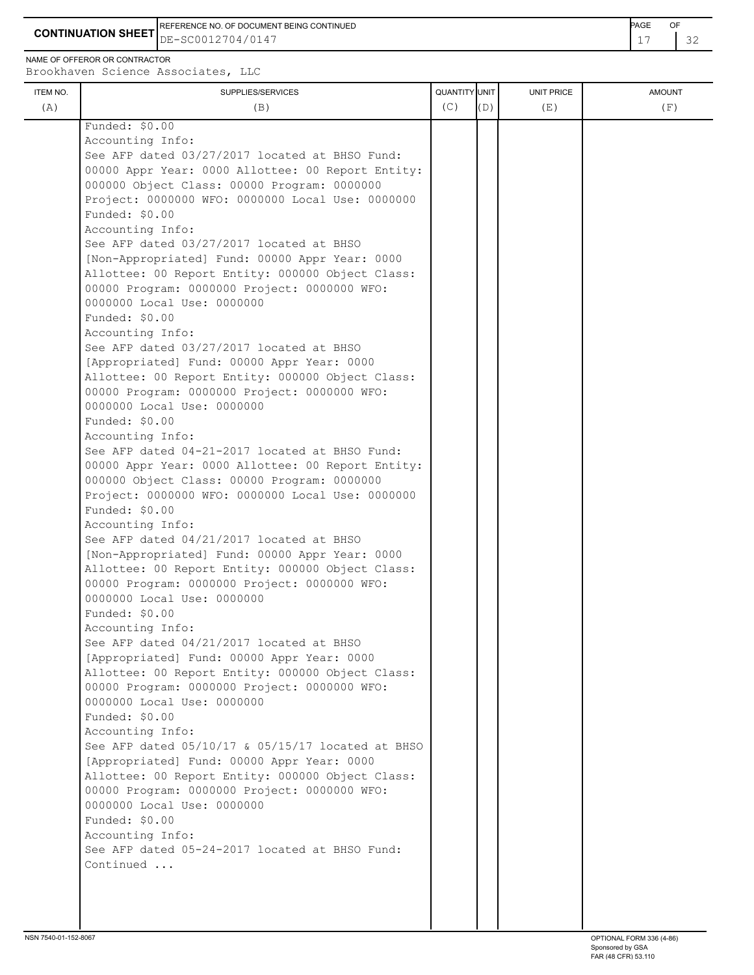REFERENCE NO. OF DOCUMENT BEING CONTINUED **AGE OF A SECOND ACTION OF A SECOND-** PAGE OF

**CONTINUATION SHEET**  $DE-SC0012704/0147$   $17$   $32$ DE-SC0012704/0147

NAME OF OFFEROR OR CONTRACTOR Brookhaven Science Associates, LLC

ITEM NO. ┃ SUPPLIES/SERVICES UNIT PRICE AMOUNT (A)  $(B)$  (B)  $(C)$   $(D)$  (E)  $(E)$  (F) Funded: \$0.00 Accounting Info: See AFP dated 03/27/2017 located at BHSO Fund: 00000 Appr Year: 0000 Allottee: 00 Report Entity: 000000 Object Class: 00000 Program: 0000000 Project: 0000000 WFO: 0000000 Local Use: 0000000 Funded: \$0.00 Accounting Info: See AFP dated 03/27/2017 located at BHSO [Non-Appropriated] Fund: 00000 Appr Year: 0000 Allottee: 00 Report Entity: 000000 Object Class: 00000 Program: 0000000 Project: 0000000 WFO: 0000000 Local Use: 0000000 Funded: \$0.00 Accounting Info: See AFP dated 03/27/2017 located at BHSO [Appropriated] Fund: 00000 Appr Year: 0000 Allottee: 00 Report Entity: 000000 Object Class: 00000 Program: 0000000 Project: 0000000 WFO: 0000000 Local Use: 0000000 Funded: \$0.00 Accounting Info: See AFP dated 04-21-2017 located at BHSO Fund: 00000 Appr Year: 0000 Allottee: 00 Report Entity: 000000 Object Class: 00000 Program: 0000000 Project: 0000000 WFO: 0000000 Local Use: 0000000 Funded: \$0.00 Accounting Info: See AFP dated 04/21/2017 located at BHSO [Non-Appropriated] Fund: 00000 Appr Year: 0000 Allottee: 00 Report Entity: 000000 Object Class: 00000 Program: 0000000 Project: 0000000 WFO: 0000000 Local Use: 0000000 Funded: \$0.00 Accounting Info: See AFP dated 04/21/2017 located at BHSO [Appropriated] Fund: 00000 Appr Year: 0000 Allottee: 00 Report Entity: 000000 Object Class: 00000 Program: 0000000 Project: 0000000 WFO: 0000000 Local Use: 0000000 Funded: \$0.00 Accounting Info: See AFP dated 05/10/17 & 05/15/17 located at BHSO [Appropriated] Fund: 00000 Appr Year: 0000 Allottee: 00 Report Entity: 000000 Object Class: 00000 Program: 0000000 Project: 0000000 WFO: 0000000 Local Use: 0000000 Funded: \$0.00 Accounting Info: See AFP dated 05-24-2017 located at BHSO Fund: Continued ...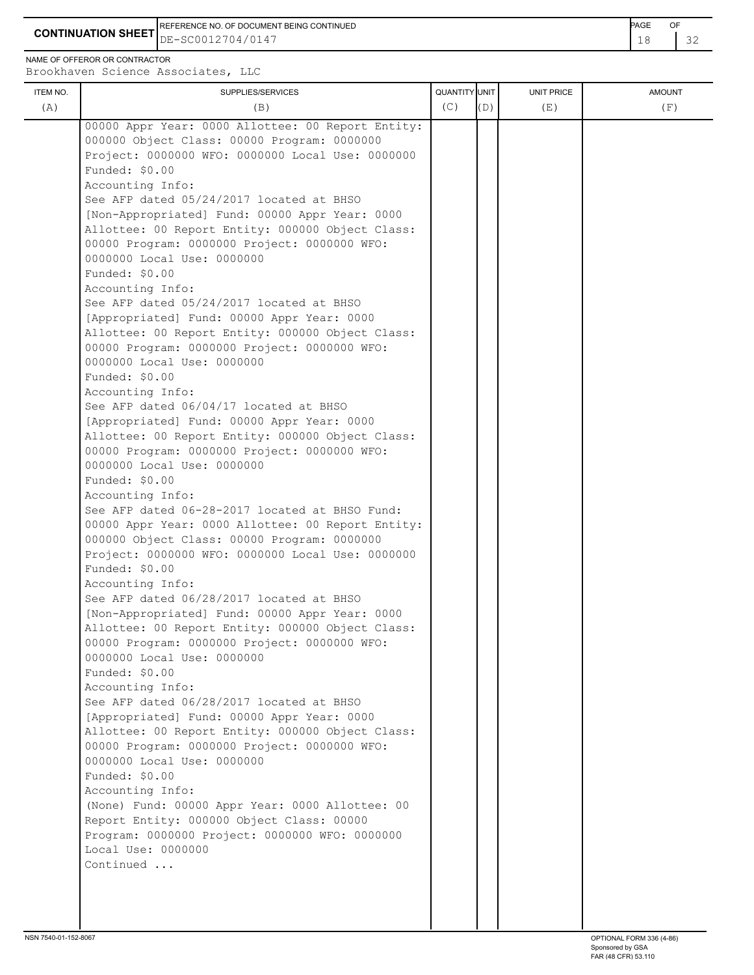**CONTINUATION SHEET** DE-SC0012704/0147 **18 22** REFERENCE NO. OF DOCUMENT BEING CONTINUED **Example 2008** PAGE OF

NAME OF OFFEROR OR CONTRACTOR

| ITEM NO. | SUPPLIES/SERVICES                                                  | QUANTITY UNIT |     | UNIT PRICE | <b>AMOUNT</b> |
|----------|--------------------------------------------------------------------|---------------|-----|------------|---------------|
| (A)      | (B)                                                                | (C)           | (D) | (E)        | (F)           |
|          |                                                                    |               |     |            |               |
|          | 00000 Appr Year: 0000 Allottee: 00 Report Entity:                  |               |     |            |               |
|          | 000000 Object Class: 00000 Program: 0000000                        |               |     |            |               |
|          | Project: 0000000 WFO: 0000000 Local Use: 0000000<br>Funded: \$0.00 |               |     |            |               |
|          | Accounting Info:                                                   |               |     |            |               |
|          | See AFP dated 05/24/2017 located at BHSO                           |               |     |            |               |
|          | [Non-Appropriated] Fund: 00000 Appr Year: 0000                     |               |     |            |               |
|          | Allottee: 00 Report Entity: 000000 Object Class:                   |               |     |            |               |
|          | 00000 Program: 0000000 Project: 0000000 WFO:                       |               |     |            |               |
|          | 0000000 Local Use: 0000000                                         |               |     |            |               |
|          | Funded: \$0.00                                                     |               |     |            |               |
|          | Accounting Info:                                                   |               |     |            |               |
|          | See AFP dated 05/24/2017 located at BHSO                           |               |     |            |               |
|          | [Appropriated] Fund: 00000 Appr Year: 0000                         |               |     |            |               |
|          | Allottee: 00 Report Entity: 000000 Object Class:                   |               |     |            |               |
|          | 00000 Program: 0000000 Project: 0000000 WFO:                       |               |     |            |               |
|          | 0000000 Local Use: 0000000                                         |               |     |            |               |
|          | Funded: \$0.00                                                     |               |     |            |               |
|          | Accounting Info:                                                   |               |     |            |               |
|          | See AFP dated 06/04/17 located at BHSO                             |               |     |            |               |
|          | [Appropriated] Fund: 00000 Appr Year: 0000                         |               |     |            |               |
|          | Allottee: 00 Report Entity: 000000 Object Class:                   |               |     |            |               |
|          | 00000 Program: 0000000 Project: 0000000 WFO:                       |               |     |            |               |
|          | 0000000 Local Use: 0000000                                         |               |     |            |               |
|          | Funded: \$0.00                                                     |               |     |            |               |
|          | Accounting Info:                                                   |               |     |            |               |
|          | See AFP dated 06-28-2017 located at BHSO Fund:                     |               |     |            |               |
|          | 00000 Appr Year: 0000 Allottee: 00 Report Entity:                  |               |     |            |               |
|          | 000000 Object Class: 00000 Program: 0000000                        |               |     |            |               |
|          | Project: 0000000 WFO: 0000000 Local Use: 0000000                   |               |     |            |               |
|          | Funded: \$0.00<br>Accounting Info:                                 |               |     |            |               |
|          | See AFP dated 06/28/2017 located at BHSO                           |               |     |            |               |
|          | [Non-Appropriated] Fund: 00000 Appr Year: 0000                     |               |     |            |               |
|          | Allottee: 00 Report Entity: 000000 Object Class:                   |               |     |            |               |
|          | 00000 Program: 0000000 Project: 0000000 WFO:                       |               |     |            |               |
|          | 0000000 Local Use: 0000000                                         |               |     |            |               |
|          | Funded: \$0.00                                                     |               |     |            |               |
|          | Accounting Info:                                                   |               |     |            |               |
|          | See AFP dated 06/28/2017 located at BHSO                           |               |     |            |               |
|          | [Appropriated] Fund: 00000 Appr Year: 0000                         |               |     |            |               |
|          | Allottee: 00 Report Entity: 000000 Object Class:                   |               |     |            |               |
|          | 00000 Program: 0000000 Project: 0000000 WFO:                       |               |     |            |               |
|          | 0000000 Local Use: 0000000                                         |               |     |            |               |
|          | Funded: \$0.00                                                     |               |     |            |               |
|          | Accounting Info:                                                   |               |     |            |               |
|          | (None) Fund: 00000 Appr Year: 0000 Allottee: 00                    |               |     |            |               |
|          | Report Entity: 000000 Object Class: 00000                          |               |     |            |               |
|          | Program: 0000000 Project: 0000000 WFO: 0000000                     |               |     |            |               |
|          | Local Use: 0000000                                                 |               |     |            |               |
|          | Continued                                                          |               |     |            |               |
|          |                                                                    |               |     |            |               |
|          |                                                                    |               |     |            |               |
|          |                                                                    |               |     |            |               |
|          |                                                                    |               |     |            |               |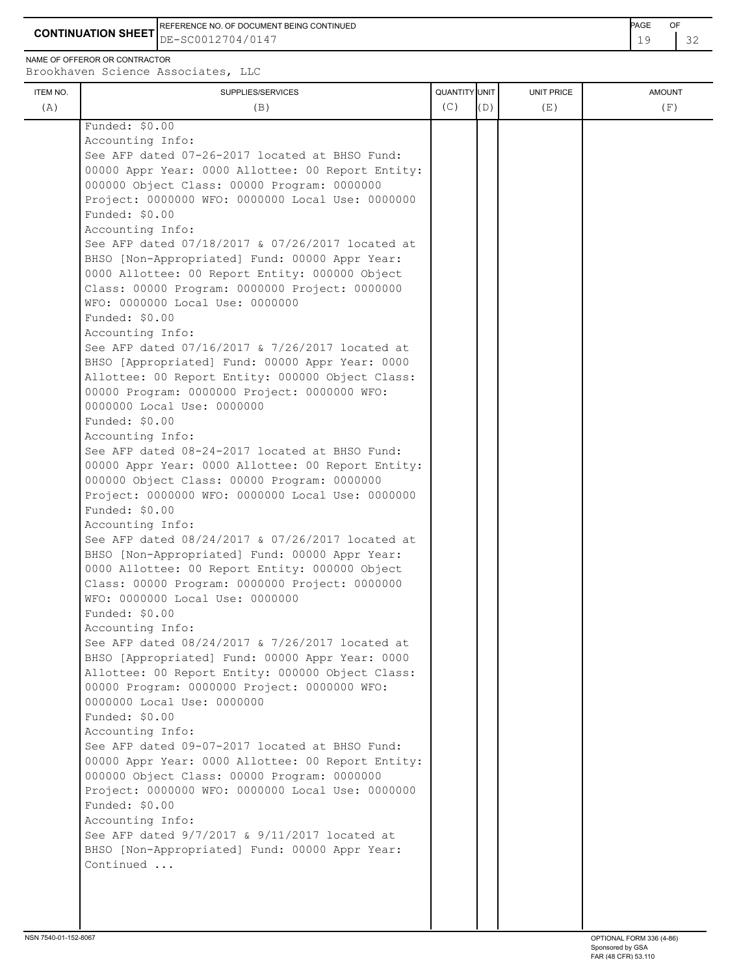19 32 **CONTINUATION SHEET** DE-SC0012704/0147 REFERENCE NO. OF DOCUMENT BEING CONTINUED **EXAMPLE 2008** PAGE OF

NAME OF OFFEROR OR CONTRACTOR

| ITEM NO.<br>(A) | SUPPLIES/SERVICES<br>(B)                                                                         | QUANTITY UNIT<br>(C) | (D) | <b>UNIT PRICE</b><br>(E) | <b>AMOUNT</b><br>(F) |
|-----------------|--------------------------------------------------------------------------------------------------|----------------------|-----|--------------------------|----------------------|
|                 | Funded: \$0.00                                                                                   |                      |     |                          |                      |
|                 | Accounting Info:                                                                                 |                      |     |                          |                      |
|                 | See AFP dated 07-26-2017 located at BHSO Fund:                                                   |                      |     |                          |                      |
|                 | 00000 Appr Year: 0000 Allottee: 00 Report Entity:                                                |                      |     |                          |                      |
|                 | 000000 Object Class: 00000 Program: 0000000                                                      |                      |     |                          |                      |
|                 | Project: 0000000 WFO: 0000000 Local Use: 0000000                                                 |                      |     |                          |                      |
|                 | Funded: \$0.00                                                                                   |                      |     |                          |                      |
|                 | Accounting Info:                                                                                 |                      |     |                          |                      |
|                 | See AFP dated 07/18/2017 & 07/26/2017 located at                                                 |                      |     |                          |                      |
|                 | BHSO [Non-Appropriated] Fund: 00000 Appr Year:                                                   |                      |     |                          |                      |
|                 | 0000 Allottee: 00 Report Entity: 000000 Object                                                   |                      |     |                          |                      |
|                 | Class: 00000 Program: 0000000 Project: 0000000<br>WFO: 0000000 Local Use: 0000000                |                      |     |                          |                      |
|                 | Funded: \$0.00                                                                                   |                      |     |                          |                      |
|                 | Accounting Info:                                                                                 |                      |     |                          |                      |
|                 | See AFP dated 07/16/2017 & 7/26/2017 located at                                                  |                      |     |                          |                      |
|                 | BHSO [Appropriated] Fund: 00000 Appr Year: 0000                                                  |                      |     |                          |                      |
|                 | Allottee: 00 Report Entity: 000000 Object Class:                                                 |                      |     |                          |                      |
|                 | 00000 Program: 0000000 Project: 0000000 WFO:                                                     |                      |     |                          |                      |
|                 | 0000000 Local Use: 0000000                                                                       |                      |     |                          |                      |
|                 | Funded: \$0.00                                                                                   |                      |     |                          |                      |
|                 | Accounting Info:                                                                                 |                      |     |                          |                      |
|                 | See AFP dated 08-24-2017 located at BHSO Fund:                                                   |                      |     |                          |                      |
|                 | 00000 Appr Year: 0000 Allottee: 00 Report Entity:<br>000000 Object Class: 00000 Program: 0000000 |                      |     |                          |                      |
|                 | Project: 0000000 WFO: 0000000 Local Use: 0000000                                                 |                      |     |                          |                      |
|                 | Funded: \$0.00                                                                                   |                      |     |                          |                      |
|                 | Accounting Info:                                                                                 |                      |     |                          |                      |
|                 | See AFP dated 08/24/2017 & 07/26/2017 located at                                                 |                      |     |                          |                      |
|                 | BHSO [Non-Appropriated] Fund: 00000 Appr Year:                                                   |                      |     |                          |                      |
|                 | 0000 Allottee: 00 Report Entity: 000000 Object                                                   |                      |     |                          |                      |
|                 | Class: 00000 Program: 0000000 Project: 0000000                                                   |                      |     |                          |                      |
|                 | WFO: 0000000 Local Use: 0000000                                                                  |                      |     |                          |                      |
|                 | Funded: \$0.00                                                                                   |                      |     |                          |                      |
|                 | Accounting Info:<br>See AFP dated 08/24/2017 & 7/26/2017 located at                              |                      |     |                          |                      |
|                 | BHSO [Appropriated] Fund: 00000 Appr Year: 0000                                                  |                      |     |                          |                      |
|                 | Allottee: 00 Report Entity: 000000 Object Class:                                                 |                      |     |                          |                      |
|                 | 00000 Program: 0000000 Project: 0000000 WFO:                                                     |                      |     |                          |                      |
|                 | 0000000 Local Use: 0000000                                                                       |                      |     |                          |                      |
|                 | Funded: \$0.00                                                                                   |                      |     |                          |                      |
|                 | Accounting Info:                                                                                 |                      |     |                          |                      |
|                 | See AFP dated 09-07-2017 located at BHSO Fund:                                                   |                      |     |                          |                      |
|                 | 00000 Appr Year: 0000 Allottee: 00 Report Entity:                                                |                      |     |                          |                      |
|                 | 000000 Object Class: 00000 Program: 0000000                                                      |                      |     |                          |                      |
|                 | Project: 0000000 WFO: 0000000 Local Use: 0000000                                                 |                      |     |                          |                      |
|                 | Funded: \$0.00<br>Accounting Info:                                                               |                      |     |                          |                      |
|                 | See AFP dated $9/7/2017$ & $9/11/2017$ located at                                                |                      |     |                          |                      |
|                 | BHSO [Non-Appropriated] Fund: 00000 Appr Year:                                                   |                      |     |                          |                      |
|                 | Continued                                                                                        |                      |     |                          |                      |
|                 |                                                                                                  |                      |     |                          |                      |
|                 |                                                                                                  |                      |     |                          |                      |
|                 |                                                                                                  |                      |     |                          |                      |
|                 |                                                                                                  |                      |     |                          |                      |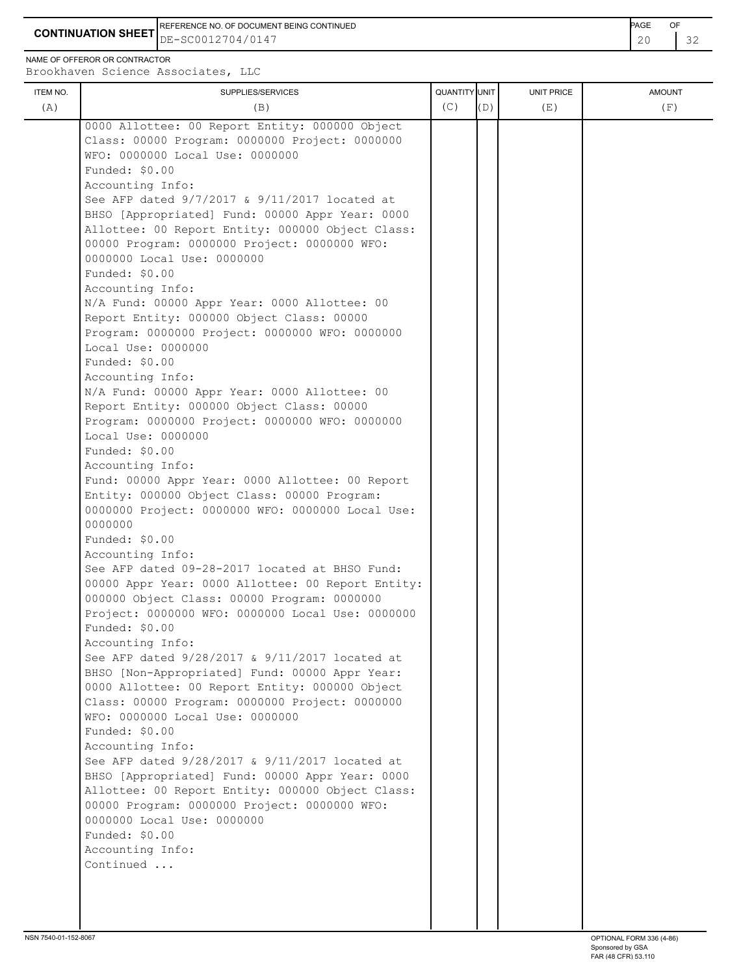**CONTINUATION SHEET** DE-SC0012704/0147 20 32 REFERENCE NO. OF DOCUMENT BEING CONTINUED **AGE ACCUMENT ACCUMENT OF A CONTINUED** 

NAME OF OFFEROR OR CONTRACTOR

| ITEM NO. | SUPPLIES/SERVICES                                                                                                                                                                                                                                                                                                                                                                                                                                                                                                                                                                                                                                                                                                                                                                                                                                                                                                                                                                                                                                                                                                                                                                                                                                                                                                                                                                                                                                                                                                                                                                                                                                                                                                                                                                                                                                                                                             | QUANTITY UNIT | (D) | <b>UNIT PRICE</b> | <b>AMOUNT</b> |
|----------|---------------------------------------------------------------------------------------------------------------------------------------------------------------------------------------------------------------------------------------------------------------------------------------------------------------------------------------------------------------------------------------------------------------------------------------------------------------------------------------------------------------------------------------------------------------------------------------------------------------------------------------------------------------------------------------------------------------------------------------------------------------------------------------------------------------------------------------------------------------------------------------------------------------------------------------------------------------------------------------------------------------------------------------------------------------------------------------------------------------------------------------------------------------------------------------------------------------------------------------------------------------------------------------------------------------------------------------------------------------------------------------------------------------------------------------------------------------------------------------------------------------------------------------------------------------------------------------------------------------------------------------------------------------------------------------------------------------------------------------------------------------------------------------------------------------------------------------------------------------------------------------------------------------|---------------|-----|-------------------|---------------|
| (A)      | (B)                                                                                                                                                                                                                                                                                                                                                                                                                                                                                                                                                                                                                                                                                                                                                                                                                                                                                                                                                                                                                                                                                                                                                                                                                                                                                                                                                                                                                                                                                                                                                                                                                                                                                                                                                                                                                                                                                                           | (C)           |     | (E)               | (F)           |
|          | 0000 Allottee: 00 Report Entity: 000000 Object<br>Class: 00000 Program: 0000000 Project: 0000000<br>WFO: 0000000 Local Use: 0000000<br>Funded: \$0.00<br>Accounting Info:<br>See AFP dated 9/7/2017 & 9/11/2017 located at<br>BHSO [Appropriated] Fund: 00000 Appr Year: 0000<br>Allottee: 00 Report Entity: 000000 Object Class:<br>00000 Program: 0000000 Project: 0000000 WFO:<br>0000000 Local Use: 0000000<br>Funded: \$0.00<br>Accounting Info:<br>N/A Fund: 00000 Appr Year: 0000 Allottee: 00<br>Report Entity: 000000 Object Class: 00000<br>Program: 0000000 Project: 0000000 WFO: 0000000<br>Local Use: 0000000<br>Funded: \$0.00<br>Accounting Info:<br>N/A Fund: 00000 Appr Year: 0000 Allottee: 00<br>Report Entity: 000000 Object Class: 00000<br>Program: 0000000 Project: 0000000 WFO: 0000000<br>Local Use: 0000000<br>Funded: \$0.00<br>Accounting Info:<br>Fund: 00000 Appr Year: 0000 Allottee: 00 Report<br>Entity: 000000 Object Class: 00000 Program:<br>0000000 Project: 0000000 WFO: 0000000 Local Use:<br>0000000<br>Funded: \$0.00<br>Accounting Info:<br>See AFP dated 09-28-2017 located at BHSO Fund:<br>00000 Appr Year: 0000 Allottee: 00 Report Entity:<br>000000 Object Class: 00000 Program: 0000000<br>Project: 0000000 WFO: 0000000 Local Use: 0000000<br>Funded: \$0.00<br>Accounting Info:<br>See AFP dated 9/28/2017 & 9/11/2017 located at<br>BHSO [Non-Appropriated] Fund: 00000 Appr Year:<br>0000 Allottee: 00 Report Entity: 000000 Object<br>Class: 00000 Program: 0000000 Project: 0000000<br>WFO: 0000000 Local Use: 0000000<br>Funded: \$0.00<br>Accounting Info:<br>See AFP dated 9/28/2017 & 9/11/2017 located at<br>BHSO [Appropriated] Fund: 00000 Appr Year: 0000<br>Allottee: 00 Report Entity: 000000 Object Class:<br>00000 Program: 0000000 Project: 0000000 WFO:<br>0000000 Local Use: 0000000<br>Funded: \$0.00<br>Accounting Info:<br>Continued |               |     |                   |               |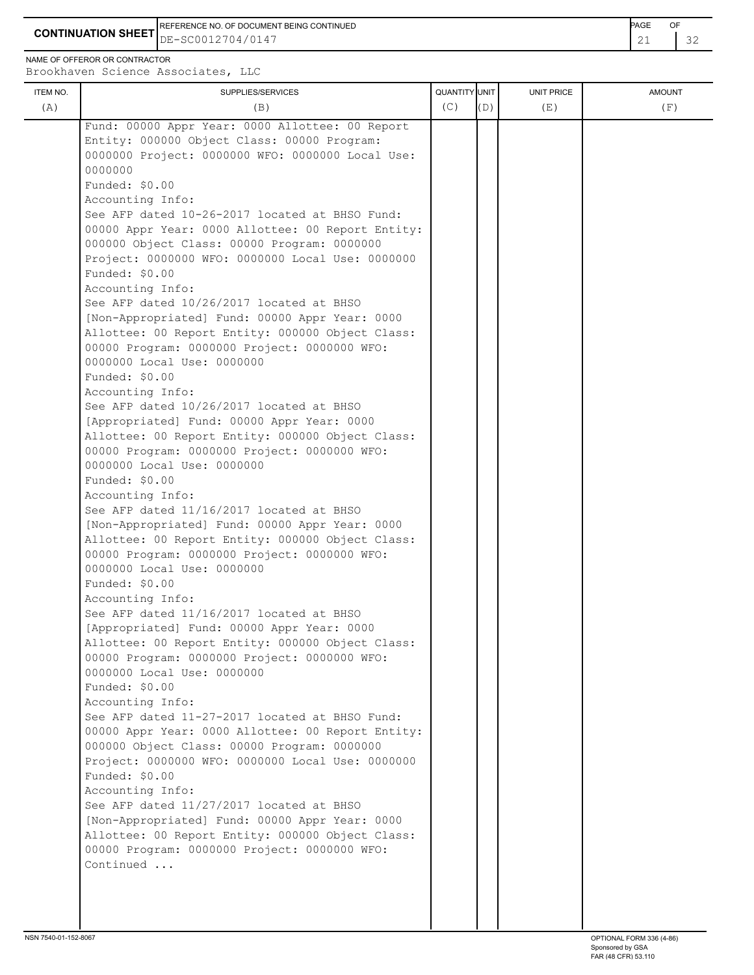**CONTINUATION SHEET** DE-SC0012704/0147 21 32 REFERENCE NO. OF DOCUMENT BEING CONTINUED **Example 2008** PAGE OF

NAME OF OFFEROR OR CONTRACTOR

| ITEM NO. | SUPPLIES/SERVICES                                                                                                                                                                                                                                                                                                                                                                                                                                                                                                                                                                                                                                                                                                                                                                                                                                                                                                                                                                                                                                                                                                                                                                                                                                                                                                                                                                                                                                                                                                                                                                                                                                                                                                                                                                                                                                                                                                                                                                                   | QUANTITY UNIT |     | UNIT PRICE | <b>AMOUNT</b> |
|----------|-----------------------------------------------------------------------------------------------------------------------------------------------------------------------------------------------------------------------------------------------------------------------------------------------------------------------------------------------------------------------------------------------------------------------------------------------------------------------------------------------------------------------------------------------------------------------------------------------------------------------------------------------------------------------------------------------------------------------------------------------------------------------------------------------------------------------------------------------------------------------------------------------------------------------------------------------------------------------------------------------------------------------------------------------------------------------------------------------------------------------------------------------------------------------------------------------------------------------------------------------------------------------------------------------------------------------------------------------------------------------------------------------------------------------------------------------------------------------------------------------------------------------------------------------------------------------------------------------------------------------------------------------------------------------------------------------------------------------------------------------------------------------------------------------------------------------------------------------------------------------------------------------------------------------------------------------------------------------------------------------------|---------------|-----|------------|---------------|
| (A)      | (B)                                                                                                                                                                                                                                                                                                                                                                                                                                                                                                                                                                                                                                                                                                                                                                                                                                                                                                                                                                                                                                                                                                                                                                                                                                                                                                                                                                                                                                                                                                                                                                                                                                                                                                                                                                                                                                                                                                                                                                                                 | (C)           | (D) | (E)        | (F)           |
|          | Fund: 00000 Appr Year: 0000 Allottee: 00 Report<br>Entity: 000000 Object Class: 00000 Program:<br>0000000 Project: 0000000 WFO: 0000000 Local Use:<br>0000000<br>Funded: $$0.00$<br>Accounting Info:<br>See AFP dated 10-26-2017 located at BHSO Fund:<br>00000 Appr Year: 0000 Allottee: 00 Report Entity:<br>000000 Object Class: 00000 Program: 0000000<br>Project: 0000000 WFO: 0000000 Local Use: 0000000<br>Funded: \$0.00<br>Accounting Info:<br>See AFP dated 10/26/2017 located at BHSO<br>[Non-Appropriated] Fund: 00000 Appr Year: 0000<br>Allottee: 00 Report Entity: 000000 Object Class:<br>00000 Program: 0000000 Project: 0000000 WFO:<br>0000000 Local Use: 0000000<br>Funded: \$0.00<br>Accounting Info:<br>See AFP dated 10/26/2017 located at BHSO<br>[Appropriated] Fund: 00000 Appr Year: 0000<br>Allottee: 00 Report Entity: 000000 Object Class:<br>00000 Program: 0000000 Project: 0000000 WFO:<br>0000000 Local Use: 0000000<br>Funded: \$0.00<br>Accounting Info:<br>See AFP dated 11/16/2017 located at BHSO<br>[Non-Appropriated] Fund: 00000 Appr Year: 0000<br>Allottee: 00 Report Entity: 000000 Object Class:<br>00000 Program: 0000000 Project: 0000000 WFO:<br>0000000 Local Use: 0000000<br>Funded: \$0.00<br>Accounting Info:<br>See AFP dated 11/16/2017 located at BHSO<br>[Appropriated] Fund: 00000 Appr Year: 0000<br>Allottee: 00 Report Entity: 000000 Object Class:<br>00000 Program: 0000000 Project: 0000000 WFO:<br>0000000 Local Use: 0000000<br>Funded: \$0.00<br>Accounting Info:<br>See AFP dated 11-27-2017 located at BHSO Fund:<br>00000 Appr Year: 0000 Allottee: 00 Report Entity:<br>000000 Object Class: 00000 Program: 0000000<br>Project: 0000000 WFO: 0000000 Local Use: 0000000<br>Funded: \$0.00<br>Accounting Info:<br>See AFP dated 11/27/2017 located at BHSO<br>[Non-Appropriated] Fund: 00000 Appr Year: 0000<br>Allottee: 00 Report Entity: 000000 Object Class:<br>00000 Program: 0000000 Project: 0000000 WFO:<br>Continued |               |     |            |               |
|          |                                                                                                                                                                                                                                                                                                                                                                                                                                                                                                                                                                                                                                                                                                                                                                                                                                                                                                                                                                                                                                                                                                                                                                                                                                                                                                                                                                                                                                                                                                                                                                                                                                                                                                                                                                                                                                                                                                                                                                                                     |               |     |            |               |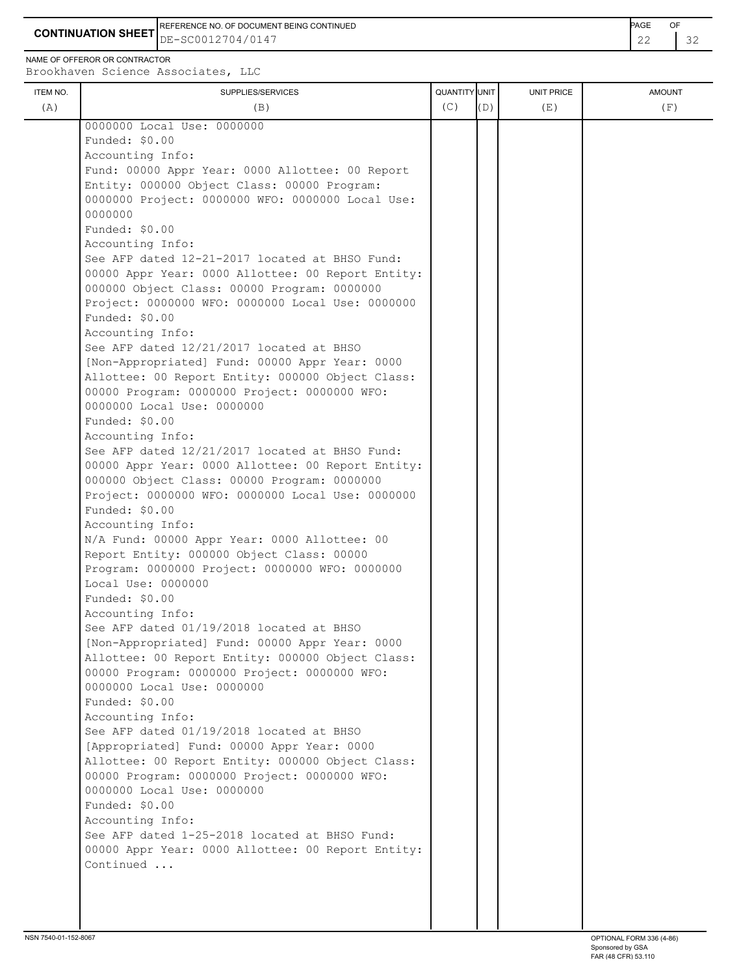**CONTINUATION SHEET** DE-SC0012704/0147 22 32 REFERENCE NO. OF DOCUMENT BEING CONTINUED **Example 2008** PAGE OF

NAME OF OFFEROR OR CONTRACTOR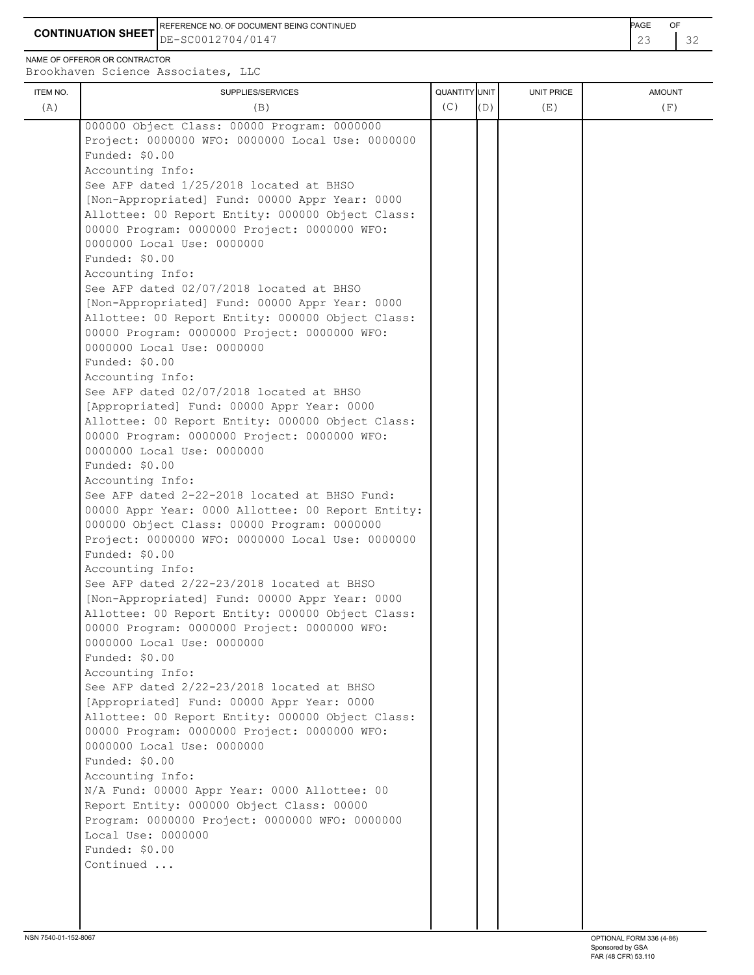**CONTINUATION SHEET** DE-SC0012704/0147 23 32 REFERENCE NO. OF DOCUMENT BEING CONTINUED **Example 2008** PAGE OF

NAME OF OFFEROR OR CONTRACTOR

|          |                                                              | QUANTITY UNIT |     |            |               |
|----------|--------------------------------------------------------------|---------------|-----|------------|---------------|
| ITEM NO. | SUPPLIES/SERVICES                                            | (C)           | (D) | UNIT PRICE | <b>AMOUNT</b> |
| (A)      | (B)                                                          |               |     | (E)        | (F)           |
|          | 000000 Object Class: 00000 Program: 0000000                  |               |     |            |               |
|          | Project: 0000000 WFO: 0000000 Local Use: 0000000             |               |     |            |               |
|          | Funded: \$0.00                                               |               |     |            |               |
|          | Accounting Info:                                             |               |     |            |               |
|          | See AFP dated 1/25/2018 located at BHSO                      |               |     |            |               |
|          | [Non-Appropriated] Fund: 00000 Appr Year: 0000               |               |     |            |               |
|          | Allottee: 00 Report Entity: 000000 Object Class:             |               |     |            |               |
|          | 00000 Program: 0000000 Project: 0000000 WFO:                 |               |     |            |               |
|          | 0000000 Local Use: 0000000                                   |               |     |            |               |
|          | Funded: \$0.00                                               |               |     |            |               |
|          | Accounting Info:                                             |               |     |            |               |
|          | See AFP dated 02/07/2018 located at BHSO                     |               |     |            |               |
|          | [Non-Appropriated] Fund: 00000 Appr Year: 0000               |               |     |            |               |
|          | Allottee: 00 Report Entity: 000000 Object Class:             |               |     |            |               |
|          | 00000 Program: 0000000 Project: 0000000 WFO:                 |               |     |            |               |
|          | 0000000 Local Use: 0000000                                   |               |     |            |               |
|          | Funded: \$0.00                                               |               |     |            |               |
|          | Accounting Info:<br>See AFP dated 02/07/2018 located at BHSO |               |     |            |               |
|          | [Appropriated] Fund: 00000 Appr Year: 0000                   |               |     |            |               |
|          | Allottee: 00 Report Entity: 000000 Object Class:             |               |     |            |               |
|          | 00000 Program: 0000000 Project: 0000000 WFO:                 |               |     |            |               |
|          | 0000000 Local Use: 0000000                                   |               |     |            |               |
|          | Funded: \$0.00                                               |               |     |            |               |
|          | Accounting Info:                                             |               |     |            |               |
|          | See AFP dated 2-22-2018 located at BHSO Fund:                |               |     |            |               |
|          | 00000 Appr Year: 0000 Allottee: 00 Report Entity:            |               |     |            |               |
|          | 000000 Object Class: 00000 Program: 0000000                  |               |     |            |               |
|          | Project: 0000000 WFO: 0000000 Local Use: 0000000             |               |     |            |               |
|          | Funded: \$0.00                                               |               |     |            |               |
|          | Accounting Info:                                             |               |     |            |               |
|          | See AFP dated 2/22-23/2018 located at BHSO                   |               |     |            |               |
|          | [Non-Appropriated] Fund: 00000 Appr Year: 0000               |               |     |            |               |
|          | Allottee: 00 Report Entity: 000000 Object Class:             |               |     |            |               |
|          | 00000 Program: 0000000 Project: 0000000 WFO:                 |               |     |            |               |
|          | 0000000 Local Use: 0000000                                   |               |     |            |               |
|          | Funded: \$0.00                                               |               |     |            |               |
|          | Accounting Info:                                             |               |     |            |               |
|          | See AFP dated 2/22-23/2018 located at BHSO                   |               |     |            |               |
|          | [Appropriated] Fund: 00000 Appr Year: 0000                   |               |     |            |               |
|          | Allottee: 00 Report Entity: 000000 Object Class:             |               |     |            |               |
|          | 00000 Program: 0000000 Project: 0000000 WFO:                 |               |     |            |               |
|          | 0000000 Local Use: 0000000                                   |               |     |            |               |
|          | Funded: \$0.00                                               |               |     |            |               |
|          | Accounting Info:                                             |               |     |            |               |
|          | N/A Fund: 00000 Appr Year: 0000 Allottee: 00                 |               |     |            |               |
|          | Report Entity: 000000 Object Class: 00000                    |               |     |            |               |
|          | Program: 0000000 Project: 0000000 WFO: 0000000               |               |     |            |               |
|          | Local Use: 0000000                                           |               |     |            |               |
|          | Funded: \$0.00                                               |               |     |            |               |
|          | Continued                                                    |               |     |            |               |
|          |                                                              |               |     |            |               |
|          |                                                              |               |     |            |               |
|          |                                                              |               |     |            |               |
|          |                                                              |               |     |            |               |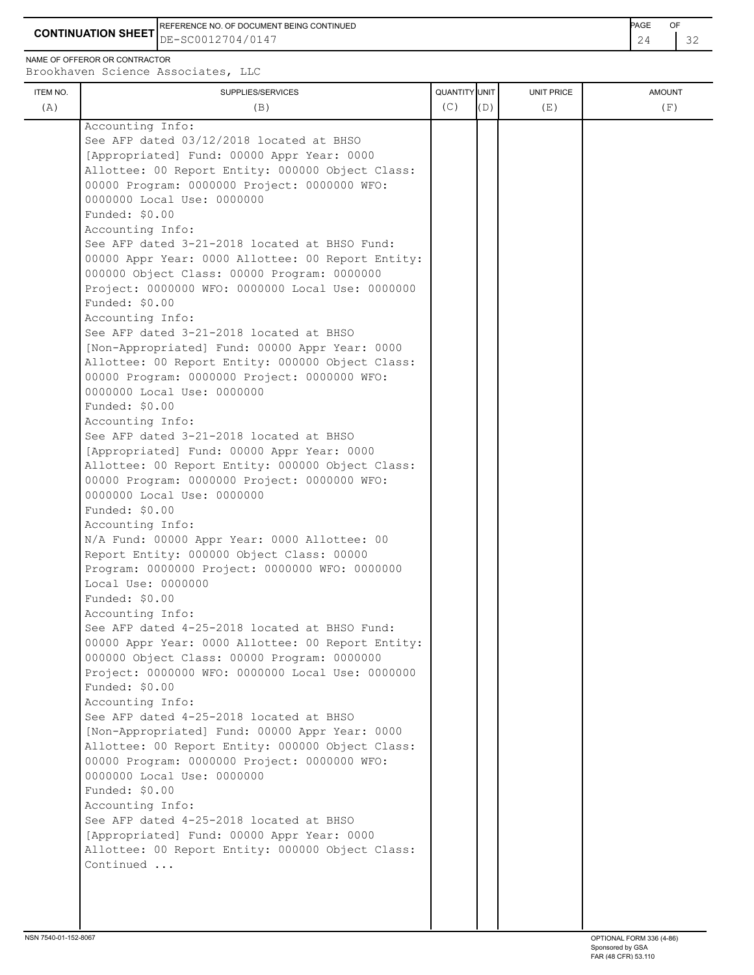REFERENCE NO. OF DOCUMENT BEING CONTINUED **AGE OF A SECOND ACTION OF A SECOND-** PAGE OF

**CONTINUATION SHEET**  $DE-SC0012704/0147$   $24$   $32$ DE-SC0012704/0147

NAME OF OFFEROR OR CONTRACTOR Brookhaven Science Associates, LLC

ITEM NO. ┃ SUPPLIES/SERVICES UNIT PRICE AMOUNT (A)  $(B)$  (B)  $(C)$   $(D)$  (E)  $(E)$  (F) Accounting Info: See AFP dated 03/12/2018 located at BHSO [Appropriated] Fund: 00000 Appr Year: 0000 Allottee: 00 Report Entity: 000000 Object Class: 00000 Program: 0000000 Project: 0000000 WFO: 0000000 Local Use: 0000000 Funded: \$0.00 Accounting Info: See AFP dated 3-21-2018 located at BHSO Fund: 00000 Appr Year: 0000 Allottee: 00 Report Entity: 000000 Object Class: 00000 Program: 0000000 Project: 0000000 WFO: 0000000 Local Use: 0000000 Funded: \$0.00 Accounting Info: See AFP dated 3-21-2018 located at BHSO [Non-Appropriated] Fund: 00000 Appr Year: 0000 Allottee: 00 Report Entity: 000000 Object Class: 00000 Program: 0000000 Project: 0000000 WFO: 0000000 Local Use: 0000000 Funded: \$0.00 Accounting Info: See AFP dated 3-21-2018 located at BHSO [Appropriated] Fund: 00000 Appr Year: 0000 Allottee: 00 Report Entity: 000000 Object Class: 00000 Program: 0000000 Project: 0000000 WFO: 0000000 Local Use: 0000000 Funded: \$0.00 Accounting Info: N/A Fund: 00000 Appr Year: 0000 Allottee: 00 Report Entity: 000000 Object Class: 00000 Program: 0000000 Project: 0000000 WFO: 0000000 Local Use: 0000000 Funded: \$0.00 Accounting Info: See AFP dated 4-25-2018 located at BHSO Fund: 00000 Appr Year: 0000 Allottee: 00 Report Entity: 000000 Object Class: 00000 Program: 0000000 Project: 0000000 WFO: 0000000 Local Use: 0000000 Funded: \$0.00 Accounting Info: See AFP dated 4-25-2018 located at BHSO [Non-Appropriated] Fund: 00000 Appr Year: 0000 Allottee: 00 Report Entity: 000000 Object Class: 00000 Program: 0000000 Project: 0000000 WFO: 0000000 Local Use: 0000000 Funded: \$0.00 Accounting Info: See AFP dated 4-25-2018 located at BHSO [Appropriated] Fund: 00000 Appr Year: 0000 Allottee: 00 Report Entity: 000000 Object Class: Continued ...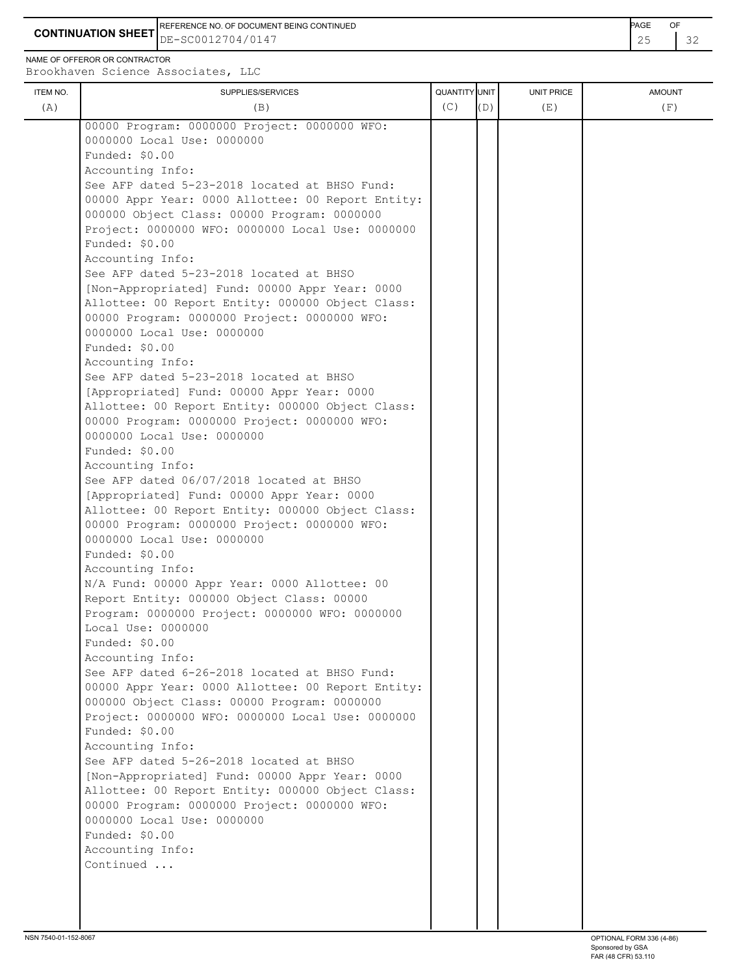**CONTINUATION SHEET** DE-SC0012704/0147 25 32 REFERENCE NO. OF DOCUMENT BEING CONTINUED **Example 2008** PAGE OF

NAME OF OFFEROR OR CONTRACTOR

| ITEM NO. | SUPPLIES/SERVICES                                                                                | <b>QUANTITY</b> UNIT |     | <b>UNIT PRICE</b> | <b>AMOUNT</b> |
|----------|--------------------------------------------------------------------------------------------------|----------------------|-----|-------------------|---------------|
| (A)      | (B)                                                                                              | (C)                  | (D) | (E)               | (F)           |
|          |                                                                                                  |                      |     |                   |               |
|          | 00000 Program: 0000000 Project: 0000000 WFO:<br>0000000 Local Use: 0000000                       |                      |     |                   |               |
|          | Funded: $$0.00$                                                                                  |                      |     |                   |               |
|          | Accounting Info:                                                                                 |                      |     |                   |               |
|          | See AFP dated 5-23-2018 located at BHSO Fund:                                                    |                      |     |                   |               |
|          | 00000 Appr Year: 0000 Allottee: 00 Report Entity:                                                |                      |     |                   |               |
|          | 000000 Object Class: 00000 Program: 0000000                                                      |                      |     |                   |               |
|          | Project: 0000000 WFO: 0000000 Local Use: 0000000                                                 |                      |     |                   |               |
|          | Funded: \$0.00                                                                                   |                      |     |                   |               |
|          | Accounting Info:                                                                                 |                      |     |                   |               |
|          | See AFP dated 5-23-2018 located at BHSO                                                          |                      |     |                   |               |
|          | [Non-Appropriated] Fund: 00000 Appr Year: 0000                                                   |                      |     |                   |               |
|          | Allottee: 00 Report Entity: 000000 Object Class:                                                 |                      |     |                   |               |
|          | 00000 Program: 0000000 Project: 0000000 WFO:                                                     |                      |     |                   |               |
|          | 0000000 Local Use: 0000000                                                                       |                      |     |                   |               |
|          | Funded: $$0.00$                                                                                  |                      |     |                   |               |
|          | Accounting Info:                                                                                 |                      |     |                   |               |
|          | See AFP dated 5-23-2018 located at BHSO                                                          |                      |     |                   |               |
|          | [Appropriated] Fund: 00000 Appr Year: 0000                                                       |                      |     |                   |               |
|          | Allottee: 00 Report Entity: 000000 Object Class:                                                 |                      |     |                   |               |
|          | 00000 Program: 0000000 Project: 0000000 WFO:                                                     |                      |     |                   |               |
|          | 0000000 Local Use: 0000000                                                                       |                      |     |                   |               |
|          | Funded: \$0.00                                                                                   |                      |     |                   |               |
|          | Accounting Info:                                                                                 |                      |     |                   |               |
|          | See AFP dated 06/07/2018 located at BHSO<br>[Appropriated] Fund: 00000 Appr Year: 0000           |                      |     |                   |               |
|          | Allottee: 00 Report Entity: 000000 Object Class:                                                 |                      |     |                   |               |
|          | 00000 Program: 0000000 Project: 0000000 WFO:                                                     |                      |     |                   |               |
|          | 0000000 Local Use: 0000000                                                                       |                      |     |                   |               |
|          | Funded: \$0.00                                                                                   |                      |     |                   |               |
|          | Accounting Info:                                                                                 |                      |     |                   |               |
|          | N/A Fund: 00000 Appr Year: 0000 Allottee: 00                                                     |                      |     |                   |               |
|          | Report Entity: 000000 Object Class: 00000                                                        |                      |     |                   |               |
|          | Program: 0000000 Project: 0000000 WFO: 0000000                                                   |                      |     |                   |               |
|          | Local Use: 0000000                                                                               |                      |     |                   |               |
|          | Funded: \$0.00                                                                                   |                      |     |                   |               |
|          | Accounting Info:                                                                                 |                      |     |                   |               |
|          | See AFP dated 6-26-2018 located at BHSO Fund:                                                    |                      |     |                   |               |
|          | 00000 Appr Year: 0000 Allottee: 00 Report Entity:                                                |                      |     |                   |               |
|          | 000000 Object Class: 00000 Program: 0000000                                                      |                      |     |                   |               |
|          | Project: 0000000 WFO: 0000000 Local Use: 0000000                                                 |                      |     |                   |               |
|          | Funded: \$0.00                                                                                   |                      |     |                   |               |
|          | Accounting Info:                                                                                 |                      |     |                   |               |
|          | See AFP dated 5-26-2018 located at BHSO                                                          |                      |     |                   |               |
|          | [Non-Appropriated] Fund: 00000 Appr Year: 0000                                                   |                      |     |                   |               |
|          | Allottee: 00 Report Entity: 000000 Object Class:<br>00000 Program: 0000000 Project: 0000000 WFO: |                      |     |                   |               |
|          | 0000000 Local Use: 0000000                                                                       |                      |     |                   |               |
|          | Funded: \$0.00                                                                                   |                      |     |                   |               |
|          | Accounting Info:                                                                                 |                      |     |                   |               |
|          | Continued                                                                                        |                      |     |                   |               |
|          |                                                                                                  |                      |     |                   |               |
|          |                                                                                                  |                      |     |                   |               |
|          |                                                                                                  |                      |     |                   |               |
|          |                                                                                                  |                      |     |                   |               |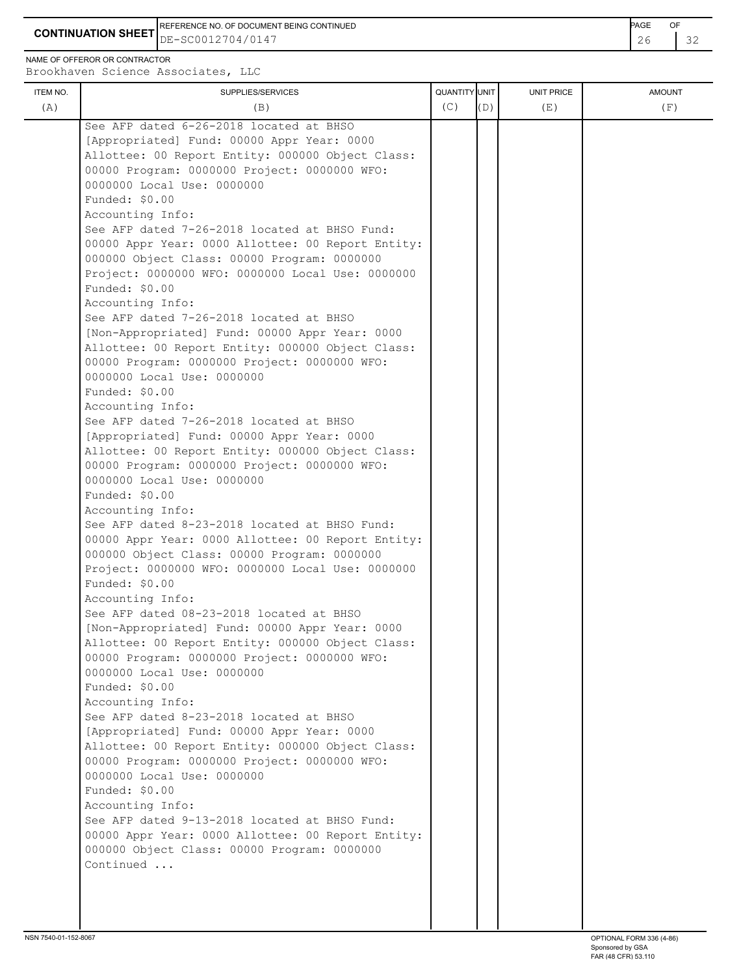**CONTINUATION SHEET** DE-SC0012704/0147 26 32 REFERENCE NO. OF DOCUMENT BEING CONTINUED **Example 2008** PAGE OF

NAME OF OFFEROR OR CONTRACTOR

Brookhaven Science Associates, LLC

| ITEM NO. | SUPPLIES/SERVICES                                 | QUANTITY UNIT |     | UNIT PRICE | <b>AMOUNT</b> |
|----------|---------------------------------------------------|---------------|-----|------------|---------------|
| (A)      | (B)                                               | (C)           | (D) | (E)        | (F)           |
|          | See AFP dated 6-26-2018 located at BHSO           |               |     |            |               |
|          | [Appropriated] Fund: 00000 Appr Year: 0000        |               |     |            |               |
|          | Allottee: 00 Report Entity: 000000 Object Class:  |               |     |            |               |
|          | 00000 Program: 0000000 Project: 0000000 WFO:      |               |     |            |               |
|          | 0000000 Local Use: 0000000                        |               |     |            |               |
|          | Funded: \$0.00                                    |               |     |            |               |
|          | Accounting Info:                                  |               |     |            |               |
|          | See AFP dated 7-26-2018 located at BHSO Fund:     |               |     |            |               |
|          | 00000 Appr Year: 0000 Allottee: 00 Report Entity: |               |     |            |               |
|          | 000000 Object Class: 00000 Program: 0000000       |               |     |            |               |
|          | Project: 0000000 WFO: 0000000 Local Use: 0000000  |               |     |            |               |
|          | Funded: \$0.00                                    |               |     |            |               |
|          | Accounting Info:                                  |               |     |            |               |
|          | See AFP dated 7-26-2018 located at BHSO           |               |     |            |               |
|          | [Non-Appropriated] Fund: 00000 Appr Year: 0000    |               |     |            |               |
|          | Allottee: 00 Report Entity: 000000 Object Class:  |               |     |            |               |
|          | 00000 Program: 0000000 Project: 0000000 WFO:      |               |     |            |               |
|          | 0000000 Local Use: 0000000                        |               |     |            |               |
|          | Funded: \$0.00                                    |               |     |            |               |
|          | Accounting Info:                                  |               |     |            |               |
|          | See AFP dated 7-26-2018 located at BHSO           |               |     |            |               |
|          |                                                   |               |     |            |               |
|          | [Appropriated] Fund: 00000 Appr Year: 0000        |               |     |            |               |
|          | Allottee: 00 Report Entity: 000000 Object Class:  |               |     |            |               |
|          | 00000 Program: 0000000 Project: 0000000 WFO:      |               |     |            |               |
|          | 0000000 Local Use: 0000000                        |               |     |            |               |
|          | Funded: \$0.00                                    |               |     |            |               |
|          | Accounting Info:                                  |               |     |            |               |
|          | See AFP dated 8-23-2018 located at BHSO Fund:     |               |     |            |               |
|          | 00000 Appr Year: 0000 Allottee: 00 Report Entity: |               |     |            |               |
|          | 000000 Object Class: 00000 Program: 0000000       |               |     |            |               |
|          | Project: 0000000 WFO: 0000000 Local Use: 0000000  |               |     |            |               |
|          | Funded: \$0.00                                    |               |     |            |               |
|          | Accounting Info:                                  |               |     |            |               |
|          | See AFP dated 08-23-2018 located at BHSO          |               |     |            |               |
|          | [Non-Appropriated] Fund: 00000 Appr Year: 0000    |               |     |            |               |
|          | Allottee: 00 Report Entity: 000000 Object Class:  |               |     |            |               |
|          | 00000 Program: 0000000 Project: 0000000 WFO:      |               |     |            |               |
|          | 0000000 Local Use: 0000000                        |               |     |            |               |
|          | Funded: \$0.00                                    |               |     |            |               |
|          | Accounting Info:                                  |               |     |            |               |
|          | See AFP dated 8-23-2018 located at BHSO           |               |     |            |               |
|          | [Appropriated] Fund: 00000 Appr Year: 0000        |               |     |            |               |
|          | Allottee: 00 Report Entity: 000000 Object Class:  |               |     |            |               |
|          | 00000 Program: 0000000 Project: 0000000 WFO:      |               |     |            |               |
|          | 0000000 Local Use: 0000000                        |               |     |            |               |
|          | Funded: \$0.00                                    |               |     |            |               |
|          | Accounting Info:                                  |               |     |            |               |
|          | See AFP dated 9-13-2018 located at BHSO Fund:     |               |     |            |               |
|          | 00000 Appr Year: 0000 Allottee: 00 Report Entity: |               |     |            |               |
|          | 000000 Object Class: 00000 Program: 0000000       |               |     |            |               |
|          | Continued                                         |               |     |            |               |
|          |                                                   |               |     |            |               |
|          |                                                   |               |     |            |               |
|          |                                                   |               |     |            |               |

 $\overline{1}$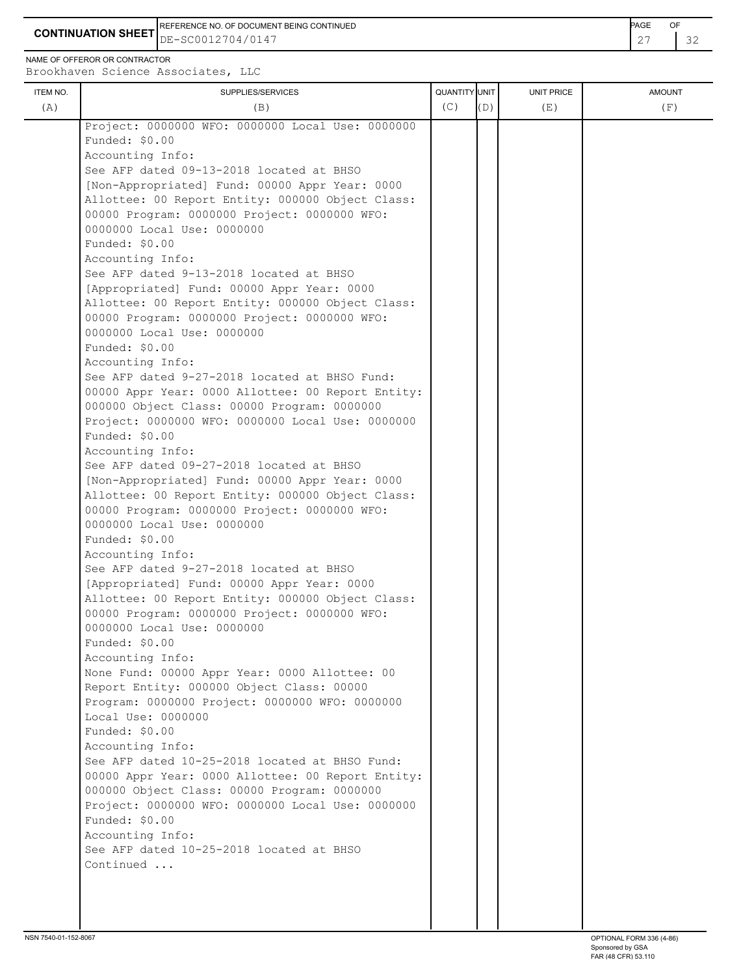**CONTINUATION SHEET** DE-SC0012704/0147 27 32 REFERENCE NO. OF DOCUMENT BEING CONTINUED **Example 2008** PAGE OF

NAME OF OFFEROR OR CONTRACTOR

Brookhaven Science Associates, LLC

| ITEM NO. | SUPPLIES/SERVICES                                 | QUANTITY UNIT |     | UNIT PRICE | <b>AMOUNT</b> |
|----------|---------------------------------------------------|---------------|-----|------------|---------------|
| (A)      | (B)                                               | (C)           | (D) | (E)        | (F)           |
|          | Project: 0000000 WFO: 0000000 Local Use: 0000000  |               |     |            |               |
|          | Funded: \$0.00                                    |               |     |            |               |
|          | Accounting Info:                                  |               |     |            |               |
|          | See AFP dated 09-13-2018 located at BHSO          |               |     |            |               |
|          | [Non-Appropriated] Fund: 00000 Appr Year: 0000    |               |     |            |               |
|          | Allottee: 00 Report Entity: 000000 Object Class:  |               |     |            |               |
|          | 00000 Program: 0000000 Project: 0000000 WFO:      |               |     |            |               |
|          | 0000000 Local Use: 0000000                        |               |     |            |               |
|          | Funded: \$0.00                                    |               |     |            |               |
|          | Accounting Info:                                  |               |     |            |               |
|          | See AFP dated 9-13-2018 located at BHSO           |               |     |            |               |
|          | [Appropriated] Fund: 00000 Appr Year: 0000        |               |     |            |               |
|          | Allottee: 00 Report Entity: 000000 Object Class:  |               |     |            |               |
|          | 00000 Program: 0000000 Project: 0000000 WFO:      |               |     |            |               |
|          | 0000000 Local Use: 0000000                        |               |     |            |               |
|          | Funded: \$0.00                                    |               |     |            |               |
|          | Accounting Info:                                  |               |     |            |               |
|          | See AFP dated 9-27-2018 located at BHSO Fund:     |               |     |            |               |
|          | 00000 Appr Year: 0000 Allottee: 00 Report Entity: |               |     |            |               |
|          | 000000 Object Class: 00000 Program: 0000000       |               |     |            |               |
|          |                                                   |               |     |            |               |
|          | Project: 0000000 WFO: 0000000 Local Use: 0000000  |               |     |            |               |
|          | Funded: \$0.00                                    |               |     |            |               |
|          | Accounting Info:                                  |               |     |            |               |
|          | See AFP dated 09-27-2018 located at BHSO          |               |     |            |               |
|          | [Non-Appropriated] Fund: 00000 Appr Year: 0000    |               |     |            |               |
|          | Allottee: 00 Report Entity: 000000 Object Class:  |               |     |            |               |
|          | 00000 Program: 0000000 Project: 0000000 WFO:      |               |     |            |               |
|          | 0000000 Local Use: 0000000                        |               |     |            |               |
|          | Funded: \$0.00                                    |               |     |            |               |
|          | Accounting Info:                                  |               |     |            |               |
|          | See AFP dated 9-27-2018 located at BHSO           |               |     |            |               |
|          | [Appropriated] Fund: 00000 Appr Year: 0000        |               |     |            |               |
|          | Allottee: 00 Report Entity: 000000 Object Class:  |               |     |            |               |
|          | 00000 Program: 0000000 Project: 0000000 WFO:      |               |     |            |               |
|          | 0000000 Local Use: 0000000                        |               |     |            |               |
|          | Funded: \$0.00                                    |               |     |            |               |
|          | Accounting Info:                                  |               |     |            |               |
|          | None Fund: 00000 Appr Year: 0000 Allottee: 00     |               |     |            |               |
|          | Report Entity: 000000 Object Class: 00000         |               |     |            |               |
|          | Program: 0000000 Project: 0000000 WFO: 0000000    |               |     |            |               |
|          | Local Use: 0000000                                |               |     |            |               |
|          | Funded: \$0.00                                    |               |     |            |               |
|          | Accounting Info:                                  |               |     |            |               |
|          | See AFP dated 10-25-2018 located at BHSO Fund:    |               |     |            |               |
|          | 00000 Appr Year: 0000 Allottee: 00 Report Entity: |               |     |            |               |
|          | 000000 Object Class: 00000 Program: 0000000       |               |     |            |               |
|          | Project: 0000000 WFO: 0000000 Local Use: 0000000  |               |     |            |               |
|          | Funded: \$0.00                                    |               |     |            |               |
|          | Accounting Info:                                  |               |     |            |               |
|          | See AFP dated 10-25-2018 located at BHSO          |               |     |            |               |
|          |                                                   |               |     |            |               |
|          | Continued                                         |               |     |            |               |
|          |                                                   |               |     |            |               |
|          |                                                   |               |     |            |               |
|          |                                                   |               |     |            |               |
|          |                                                   |               |     |            |               |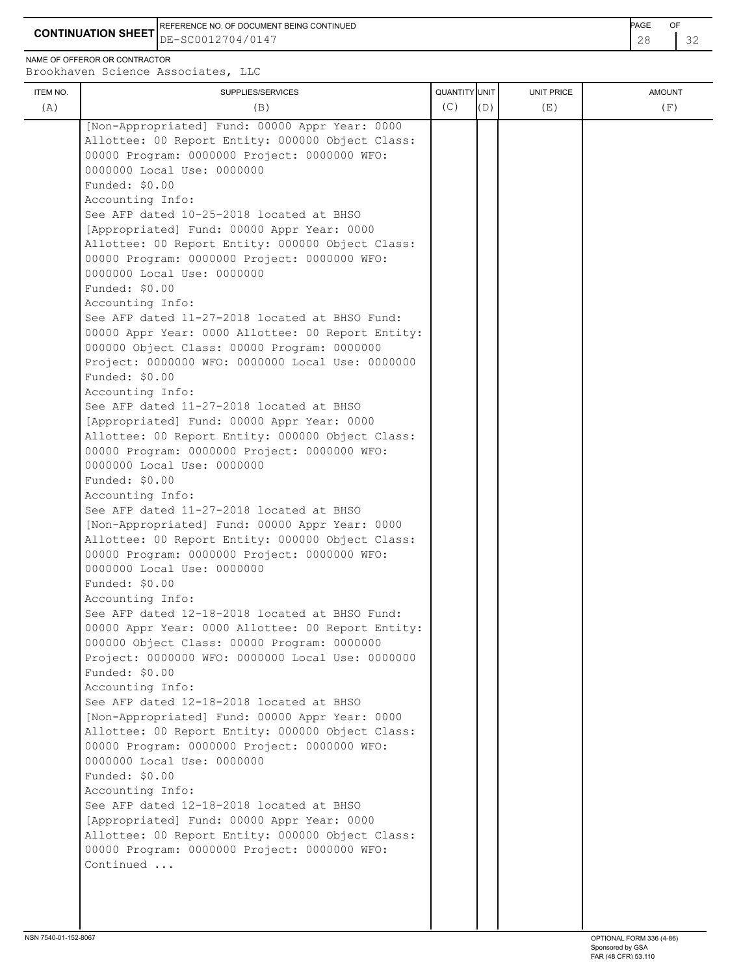**CONTINUATION SHEET** DE-SC0012704/0147 28 32 REFERENCE NO. OF DOCUMENT BEING CONTINUED **EXAMPLE 2008** PAGE OF

NAME OF OFFEROR OR CONTRACTOR

| <b>ITEM NO.</b><br>(A) | SUPPLIES/SERVICES<br>(B)                                                                       | QUANTITY UNIT<br>(C) | (D) | UNIT PRICE<br>(E) | <b>AMOUNT</b><br>(F) |
|------------------------|------------------------------------------------------------------------------------------------|----------------------|-----|-------------------|----------------------|
|                        | [Non-Appropriated] Fund: 00000 Appr Year: 0000                                                 |                      |     |                   |                      |
|                        | Allottee: 00 Report Entity: 000000 Object Class:                                               |                      |     |                   |                      |
|                        | 00000 Program: 0000000 Project: 0000000 WFO:                                                   |                      |     |                   |                      |
|                        | 0000000 Local Use: 0000000                                                                     |                      |     |                   |                      |
|                        | Funded: \$0.00                                                                                 |                      |     |                   |                      |
|                        | Accounting Info:                                                                               |                      |     |                   |                      |
|                        | See AFP dated 10-25-2018 located at BHSO                                                       |                      |     |                   |                      |
|                        | [Appropriated] Fund: 00000 Appr Year: 0000<br>Allottee: 00 Report Entity: 000000 Object Class: |                      |     |                   |                      |
|                        | 00000 Program: 0000000 Project: 0000000 WFO:                                                   |                      |     |                   |                      |
|                        | 0000000 Local Use: 0000000                                                                     |                      |     |                   |                      |
|                        | Funded: \$0.00                                                                                 |                      |     |                   |                      |
|                        | Accounting Info:                                                                               |                      |     |                   |                      |
|                        | See AFP dated 11-27-2018 located at BHSO Fund:                                                 |                      |     |                   |                      |
|                        | 00000 Appr Year: 0000 Allottee: 00 Report Entity:                                              |                      |     |                   |                      |
|                        | 000000 Object Class: 00000 Program: 0000000                                                    |                      |     |                   |                      |
|                        | Project: 0000000 WFO: 0000000 Local Use: 0000000                                               |                      |     |                   |                      |
|                        | Funded: \$0.00                                                                                 |                      |     |                   |                      |
|                        | Accounting Info:                                                                               |                      |     |                   |                      |
|                        | See AFP dated 11-27-2018 located at BHSO<br>[Appropriated] Fund: 00000 Appr Year: 0000         |                      |     |                   |                      |
|                        | Allottee: 00 Report Entity: 000000 Object Class:                                               |                      |     |                   |                      |
|                        | 00000 Program: 0000000 Project: 0000000 WFO:                                                   |                      |     |                   |                      |
|                        | 0000000 Local Use: 0000000                                                                     |                      |     |                   |                      |
|                        | Funded: \$0.00                                                                                 |                      |     |                   |                      |
|                        | Accounting Info:                                                                               |                      |     |                   |                      |
|                        | See AFP dated 11-27-2018 located at BHSO                                                       |                      |     |                   |                      |
|                        | [Non-Appropriated] Fund: 00000 Appr Year: 0000                                                 |                      |     |                   |                      |
|                        | Allottee: 00 Report Entity: 000000 Object Class:                                               |                      |     |                   |                      |
|                        | 00000 Program: 0000000 Project: 0000000 WFO:<br>0000000 Local Use: 0000000                     |                      |     |                   |                      |
|                        | Funded: \$0.00                                                                                 |                      |     |                   |                      |
|                        | Accounting Info:                                                                               |                      |     |                   |                      |
|                        | See AFP dated 12-18-2018 located at BHSO Fund:                                                 |                      |     |                   |                      |
|                        | 00000 Appr Year: 0000 Allottee: 00 Report Entity:                                              |                      |     |                   |                      |
|                        | 000000 Object Class: 00000 Program: 0000000                                                    |                      |     |                   |                      |
|                        | Project: 0000000 WFO: 0000000 Local Use: 0000000                                               |                      |     |                   |                      |
|                        | Funded: \$0.00                                                                                 |                      |     |                   |                      |
|                        | Accounting Info:                                                                               |                      |     |                   |                      |
|                        | See AFP dated 12-18-2018 located at BHSO<br>[Non-Appropriated] Fund: 00000 Appr Year: 0000     |                      |     |                   |                      |
|                        | Allottee: 00 Report Entity: 000000 Object Class:                                               |                      |     |                   |                      |
|                        | 00000 Program: 0000000 Project: 0000000 WFO:                                                   |                      |     |                   |                      |
|                        | 0000000 Local Use: 0000000                                                                     |                      |     |                   |                      |
|                        | Funded: \$0.00                                                                                 |                      |     |                   |                      |
|                        | Accounting Info:                                                                               |                      |     |                   |                      |
|                        | See AFP dated 12-18-2018 located at BHSO                                                       |                      |     |                   |                      |
|                        | [Appropriated] Fund: 00000 Appr Year: 0000                                                     |                      |     |                   |                      |
|                        | Allottee: 00 Report Entity: 000000 Object Class:                                               |                      |     |                   |                      |
|                        | 00000 Program: 0000000 Project: 0000000 WFO:                                                   |                      |     |                   |                      |
|                        | Continued                                                                                      |                      |     |                   |                      |
|                        |                                                                                                |                      |     |                   |                      |
|                        |                                                                                                |                      |     |                   |                      |
|                        |                                                                                                |                      |     |                   |                      |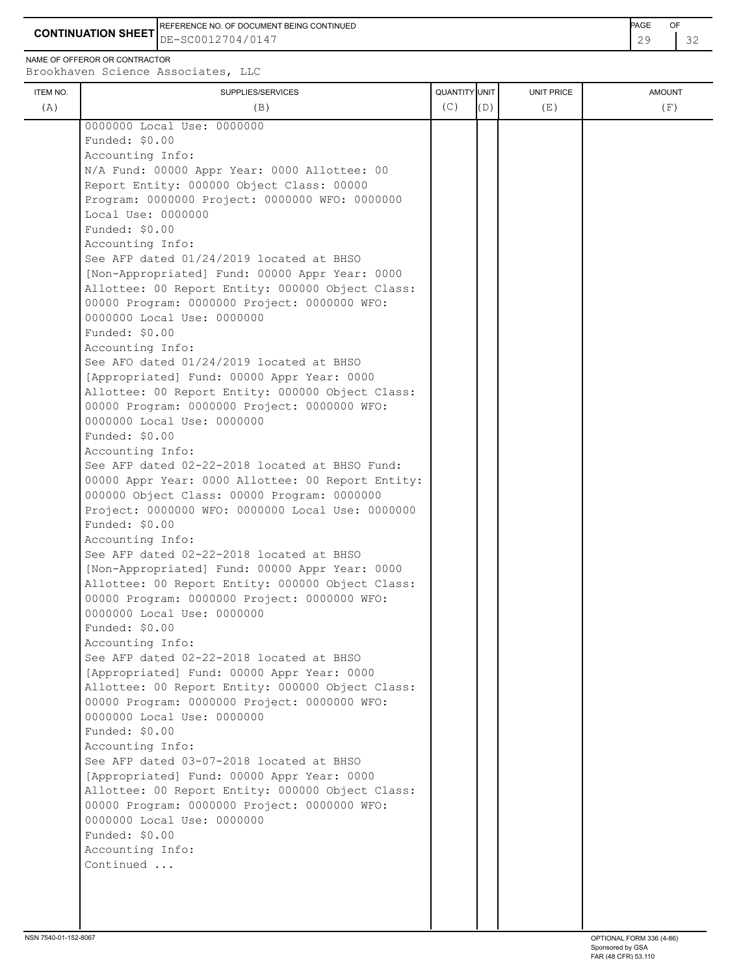**CONTINUATION SHEET** DE-SC0012704/0147 29 32 REFERENCE NO. OF DOCUMENT BEING CONTINUED **Example 2008** PAGE OF

NAME OF OFFEROR OR CONTRACTOR

| ITEM NO. | SUPPLIES/SERVICES                                                                      | QUANTITY UNIT |     | <b>UNIT PRICE</b> | <b>AMOUNT</b> |
|----------|----------------------------------------------------------------------------------------|---------------|-----|-------------------|---------------|
| (A)      | (B)                                                                                    | (C)           | (D) | (E)               | (F)           |
|          | 0000000 Local Use: 0000000                                                             |               |     |                   |               |
|          | Funded: \$0.00                                                                         |               |     |                   |               |
|          | Accounting Info:                                                                       |               |     |                   |               |
|          | N/A Fund: 00000 Appr Year: 0000 Allottee: 00                                           |               |     |                   |               |
|          | Report Entity: 000000 Object Class: 00000                                              |               |     |                   |               |
|          | Program: 0000000 Project: 0000000 WFO: 0000000                                         |               |     |                   |               |
|          | Local Use: 0000000                                                                     |               |     |                   |               |
|          | Funded: \$0.00                                                                         |               |     |                   |               |
|          | Accounting Info:                                                                       |               |     |                   |               |
|          | See AFP dated 01/24/2019 located at BHSO                                               |               |     |                   |               |
|          | [Non-Appropriated] Fund: 00000 Appr Year: 0000                                         |               |     |                   |               |
|          | Allottee: 00 Report Entity: 000000 Object Class:                                       |               |     |                   |               |
|          | 00000 Program: 0000000 Project: 0000000 WFO:                                           |               |     |                   |               |
|          | 0000000 Local Use: 0000000                                                             |               |     |                   |               |
|          | Funded: \$0.00                                                                         |               |     |                   |               |
|          | Accounting Info:                                                                       |               |     |                   |               |
|          | See AFO dated 01/24/2019 located at BHSO<br>[Appropriated] Fund: 00000 Appr Year: 0000 |               |     |                   |               |
|          | Allottee: 00 Report Entity: 000000 Object Class:                                       |               |     |                   |               |
|          | 00000 Program: 0000000 Project: 0000000 WFO:                                           |               |     |                   |               |
|          | 0000000 Local Use: 0000000                                                             |               |     |                   |               |
|          | Funded: \$0.00                                                                         |               |     |                   |               |
|          | Accounting Info:                                                                       |               |     |                   |               |
|          | See AFP dated 02-22-2018 located at BHSO Fund:                                         |               |     |                   |               |
|          | 00000 Appr Year: 0000 Allottee: 00 Report Entity:                                      |               |     |                   |               |
|          | 000000 Object Class: 00000 Program: 0000000                                            |               |     |                   |               |
|          | Project: 0000000 WFO: 0000000 Local Use: 0000000                                       |               |     |                   |               |
|          | Funded: \$0.00                                                                         |               |     |                   |               |
|          | Accounting Info:                                                                       |               |     |                   |               |
|          | See AFP dated 02-22-2018 located at BHSO                                               |               |     |                   |               |
|          | [Non-Appropriated] Fund: 00000 Appr Year: 0000                                         |               |     |                   |               |
|          | Allottee: 00 Report Entity: 000000 Object Class:                                       |               |     |                   |               |
|          | 00000 Program: 0000000 Project: 0000000 WFO:                                           |               |     |                   |               |
|          | 0000000 Local Use: 0000000                                                             |               |     |                   |               |
|          | Funded: \$0.00                                                                         |               |     |                   |               |
|          | Accounting Info:                                                                       |               |     |                   |               |
|          | See AFP dated 02-22-2018 located at BHSO                                               |               |     |                   |               |
|          | [Appropriated] Fund: 00000 Appr Year: 0000                                             |               |     |                   |               |
|          | Allottee: 00 Report Entity: 000000 Object Class:                                       |               |     |                   |               |
|          | 00000 Program: 0000000 Project: 0000000 WFO:<br>0000000 Local Use: 0000000             |               |     |                   |               |
|          | Funded: \$0.00                                                                         |               |     |                   |               |
|          | Accounting Info:                                                                       |               |     |                   |               |
|          | See AFP dated 03-07-2018 located at BHSO                                               |               |     |                   |               |
|          | [Appropriated] Fund: 00000 Appr Year: 0000                                             |               |     |                   |               |
|          | Allottee: 00 Report Entity: 000000 Object Class:                                       |               |     |                   |               |
|          | 00000 Program: 0000000 Project: 0000000 WFO:                                           |               |     |                   |               |
|          | 0000000 Local Use: 0000000                                                             |               |     |                   |               |
|          | Funded: \$0.00                                                                         |               |     |                   |               |
|          | Accounting Info:                                                                       |               |     |                   |               |
|          | Continued                                                                              |               |     |                   |               |
|          |                                                                                        |               |     |                   |               |
|          |                                                                                        |               |     |                   |               |
|          |                                                                                        |               |     |                   |               |
|          |                                                                                        |               |     |                   |               |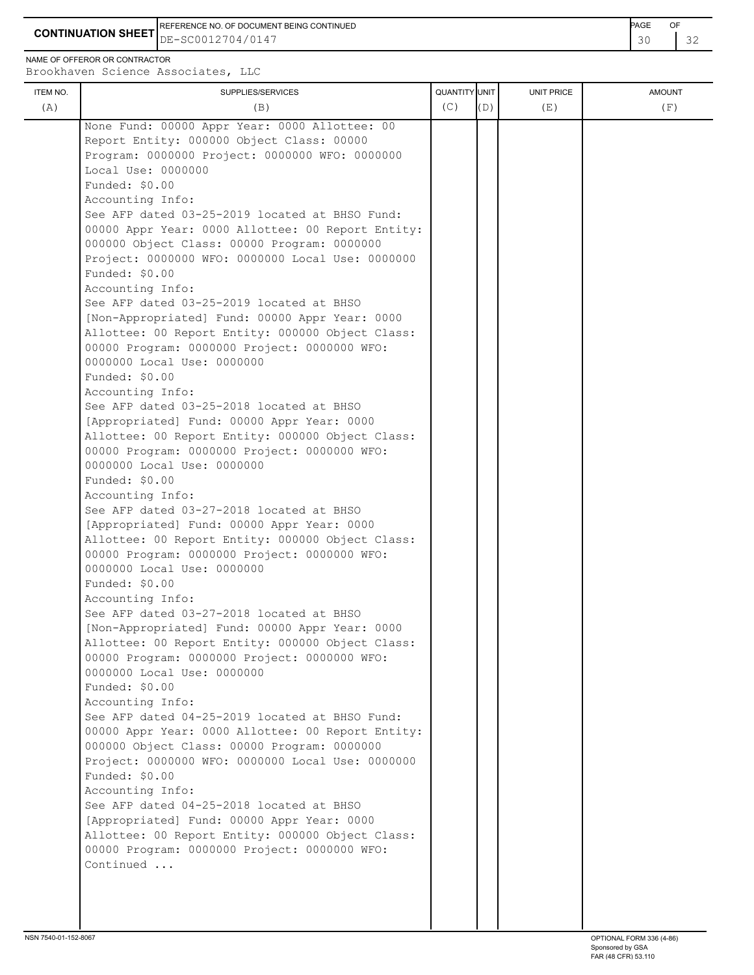**CONTINUATION SHEET** DE-SC0012704/0147 30 32 REFERENCE NO. OF DOCUMENT BEING CONTINUED **Example 2008** PAGE OF

NAME OF OFFEROR OR CONTRACTOR

| ITEM NO. | SUPPLIES/SERVICES                                                    | <b>QUANTITY</b> UNIT |     | UNIT PRICE | <b>AMOUNT</b> |
|----------|----------------------------------------------------------------------|----------------------|-----|------------|---------------|
| (A)      | (B)                                                                  | (C)                  | (D) | (E)        | (F)           |
|          |                                                                      |                      |     |            |               |
|          | None Fund: 00000 Appr Year: 0000 Allottee: 00                        |                      |     |            |               |
|          | Report Entity: 000000 Object Class: 00000                            |                      |     |            |               |
|          | Program: 0000000 Project: 0000000 WFO: 0000000<br>Local Use: 0000000 |                      |     |            |               |
|          | Funded: $$0.00$                                                      |                      |     |            |               |
|          | Accounting Info:                                                     |                      |     |            |               |
|          | See AFP dated 03-25-2019 located at BHSO Fund:                       |                      |     |            |               |
|          | 00000 Appr Year: 0000 Allottee: 00 Report Entity:                    |                      |     |            |               |
|          | 000000 Object Class: 00000 Program: 0000000                          |                      |     |            |               |
|          | Project: 0000000 WFO: 0000000 Local Use: 0000000                     |                      |     |            |               |
|          | Funded: \$0.00                                                       |                      |     |            |               |
|          | Accounting Info:                                                     |                      |     |            |               |
|          | See AFP dated 03-25-2019 located at BHSO                             |                      |     |            |               |
|          | [Non-Appropriated] Fund: 00000 Appr Year: 0000                       |                      |     |            |               |
|          | Allottee: 00 Report Entity: 000000 Object Class:                     |                      |     |            |               |
|          | 00000 Program: 0000000 Project: 0000000 WFO:                         |                      |     |            |               |
|          | 0000000 Local Use: 0000000                                           |                      |     |            |               |
|          | Funded: \$0.00                                                       |                      |     |            |               |
|          | Accounting Info:                                                     |                      |     |            |               |
|          | See AFP dated 03-25-2018 located at BHSO                             |                      |     |            |               |
|          | [Appropriated] Fund: 00000 Appr Year: 0000                           |                      |     |            |               |
|          | Allottee: 00 Report Entity: 000000 Object Class:                     |                      |     |            |               |
|          | 00000 Program: 0000000 Project: 0000000 WFO:                         |                      |     |            |               |
|          | 0000000 Local Use: 0000000                                           |                      |     |            |               |
|          | Funded: \$0.00                                                       |                      |     |            |               |
|          | Accounting Info:                                                     |                      |     |            |               |
|          | See AFP dated 03-27-2018 located at BHSO                             |                      |     |            |               |
|          | [Appropriated] Fund: 00000 Appr Year: 0000                           |                      |     |            |               |
|          | Allottee: 00 Report Entity: 000000 Object Class:                     |                      |     |            |               |
|          | 00000 Program: 0000000 Project: 0000000 WFO:                         |                      |     |            |               |
|          | 0000000 Local Use: 0000000                                           |                      |     |            |               |
|          | Funded: \$0.00                                                       |                      |     |            |               |
|          | Accounting Info:                                                     |                      |     |            |               |
|          | See AFP dated 03-27-2018 located at BHSO                             |                      |     |            |               |
|          | [Non-Appropriated] Fund: 00000 Appr Year: 0000                       |                      |     |            |               |
|          | Allottee: 00 Report Entity: 000000 Object Class:                     |                      |     |            |               |
|          | 00000 Program: 0000000 Project: 0000000 WFO:                         |                      |     |            |               |
|          | 0000000 Local Use: 0000000                                           |                      |     |            |               |
|          | Funded: \$0.00                                                       |                      |     |            |               |
|          | Accounting Info:<br>See AFP dated 04-25-2019 located at BHSO Fund:   |                      |     |            |               |
|          | 00000 Appr Year: 0000 Allottee: 00 Report Entity:                    |                      |     |            |               |
|          | 000000 Object Class: 00000 Program: 0000000                          |                      |     |            |               |
|          | Project: 0000000 WFO: 0000000 Local Use: 0000000                     |                      |     |            |               |
|          | Funded: \$0.00                                                       |                      |     |            |               |
|          | Accounting Info:                                                     |                      |     |            |               |
|          | See AFP dated 04-25-2018 located at BHSO                             |                      |     |            |               |
|          | [Appropriated] Fund: 00000 Appr Year: 0000                           |                      |     |            |               |
|          | Allottee: 00 Report Entity: 000000 Object Class:                     |                      |     |            |               |
|          | 00000 Program: 0000000 Project: 0000000 WFO:                         |                      |     |            |               |
|          | Continued                                                            |                      |     |            |               |
|          |                                                                      |                      |     |            |               |
|          |                                                                      |                      |     |            |               |
|          |                                                                      |                      |     |            |               |
|          |                                                                      |                      |     |            |               |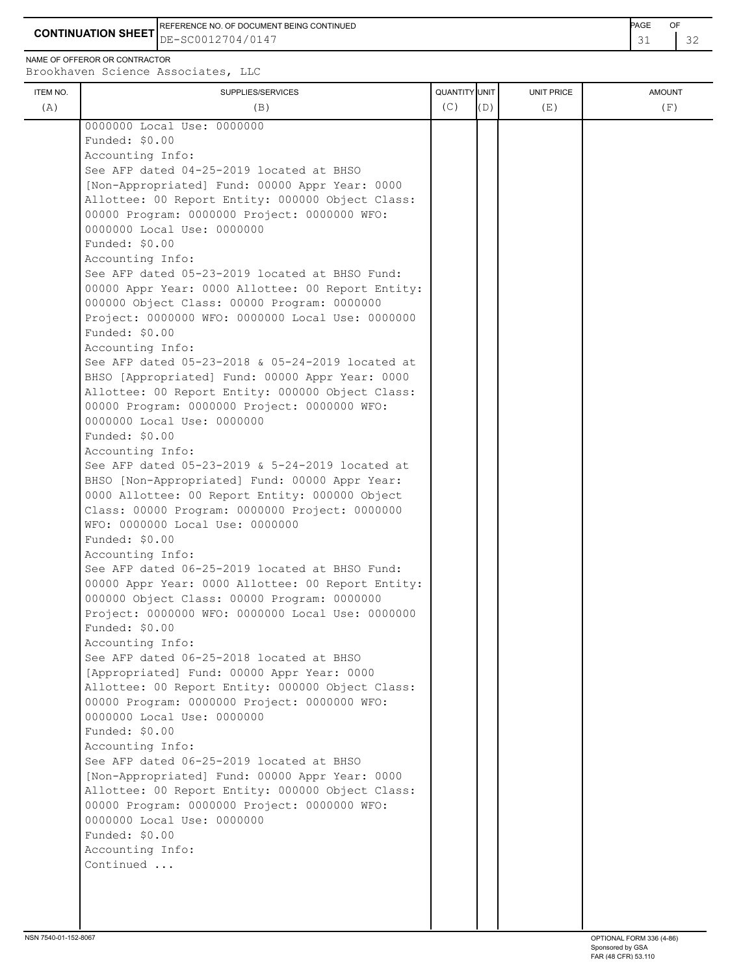**CONTINUATION SHEET** DE-SC0012704/0147 32 REFERENCE NO. OF DOCUMENT BEING CONTINUED **Example 2008** PAGE OF

NAME OF OFFEROR OR CONTRACTOR

| ITEM NO. | SUPPLIES/SERVICES                                                                 | QUANTITY UNIT |     | <b>UNIT PRICE</b> | <b>AMOUNT</b> |
|----------|-----------------------------------------------------------------------------------|---------------|-----|-------------------|---------------|
| (A)      | (B)                                                                               | (C)           | (D) | (E)               | (F)           |
|          | 0000000 Local Use: 0000000                                                        |               |     |                   |               |
|          | Funded: \$0.00                                                                    |               |     |                   |               |
|          | Accounting Info:                                                                  |               |     |                   |               |
|          | See AFP dated 04-25-2019 located at BHSO                                          |               |     |                   |               |
|          | [Non-Appropriated] Fund: 00000 Appr Year: 0000                                    |               |     |                   |               |
|          | Allottee: 00 Report Entity: 000000 Object Class:                                  |               |     |                   |               |
|          | 00000 Program: 0000000 Project: 0000000 WFO:                                      |               |     |                   |               |
|          | 0000000 Local Use: 0000000                                                        |               |     |                   |               |
|          | Funded: \$0.00                                                                    |               |     |                   |               |
|          | Accounting Info:                                                                  |               |     |                   |               |
|          | See AFP dated 05-23-2019 located at BHSO Fund:                                    |               |     |                   |               |
|          | 00000 Appr Year: 0000 Allottee: 00 Report Entity:                                 |               |     |                   |               |
|          | 000000 Object Class: 00000 Program: 0000000                                       |               |     |                   |               |
|          | Project: 0000000 WFO: 0000000 Local Use: 0000000                                  |               |     |                   |               |
|          | Funded: \$0.00                                                                    |               |     |                   |               |
|          | Accounting Info:                                                                  |               |     |                   |               |
|          | See AFP dated 05-23-2018 & 05-24-2019 located at                                  |               |     |                   |               |
|          | BHSO [Appropriated] Fund: 00000 Appr Year: 0000                                   |               |     |                   |               |
|          | Allottee: 00 Report Entity: 000000 Object Class:                                  |               |     |                   |               |
|          | 00000 Program: 0000000 Project: 0000000 WFO:                                      |               |     |                   |               |
|          | 0000000 Local Use: 0000000                                                        |               |     |                   |               |
|          | Funded: \$0.00                                                                    |               |     |                   |               |
|          | Accounting Info:                                                                  |               |     |                   |               |
|          | See AFP dated 05-23-2019 & 5-24-2019 located at                                   |               |     |                   |               |
|          | BHSO [Non-Appropriated] Fund: 00000 Appr Year:                                    |               |     |                   |               |
|          | 0000 Allottee: 00 Report Entity: 000000 Object                                    |               |     |                   |               |
|          | Class: 00000 Program: 0000000 Project: 0000000<br>WFO: 0000000 Local Use: 0000000 |               |     |                   |               |
|          | Funded: \$0.00                                                                    |               |     |                   |               |
|          | Accounting Info:                                                                  |               |     |                   |               |
|          | See AFP dated 06-25-2019 located at BHSO Fund:                                    |               |     |                   |               |
|          | 00000 Appr Year: 0000 Allottee: 00 Report Entity:                                 |               |     |                   |               |
|          | 000000 Object Class: 00000 Program: 0000000                                       |               |     |                   |               |
|          | Project: 0000000 WFO: 0000000 Local Use: 0000000                                  |               |     |                   |               |
|          | Funded: \$0.00                                                                    |               |     |                   |               |
|          | Accounting Info:                                                                  |               |     |                   |               |
|          | See AFP dated 06-25-2018 located at BHSO                                          |               |     |                   |               |
|          | [Appropriated] Fund: 00000 Appr Year: 0000                                        |               |     |                   |               |
|          | Allottee: 00 Report Entity: 000000 Object Class:                                  |               |     |                   |               |
|          | 00000 Program: 0000000 Project: 0000000 WFO:                                      |               |     |                   |               |
|          | 0000000 Local Use: 0000000                                                        |               |     |                   |               |
|          | Funded: \$0.00                                                                    |               |     |                   |               |
|          | Accounting Info:                                                                  |               |     |                   |               |
|          | See AFP dated 06-25-2019 located at BHSO                                          |               |     |                   |               |
|          | [Non-Appropriated] Fund: 00000 Appr Year: 0000                                    |               |     |                   |               |
|          | Allottee: 00 Report Entity: 000000 Object Class:                                  |               |     |                   |               |
|          | 00000 Program: 0000000 Project: 0000000 WFO:                                      |               |     |                   |               |
|          | 0000000 Local Use: 0000000                                                        |               |     |                   |               |
|          | Funded: \$0.00                                                                    |               |     |                   |               |
|          | Accounting Info:                                                                  |               |     |                   |               |
|          | Continued                                                                         |               |     |                   |               |
|          |                                                                                   |               |     |                   |               |
|          |                                                                                   |               |     |                   |               |
|          |                                                                                   |               |     |                   |               |
|          |                                                                                   |               |     |                   |               |